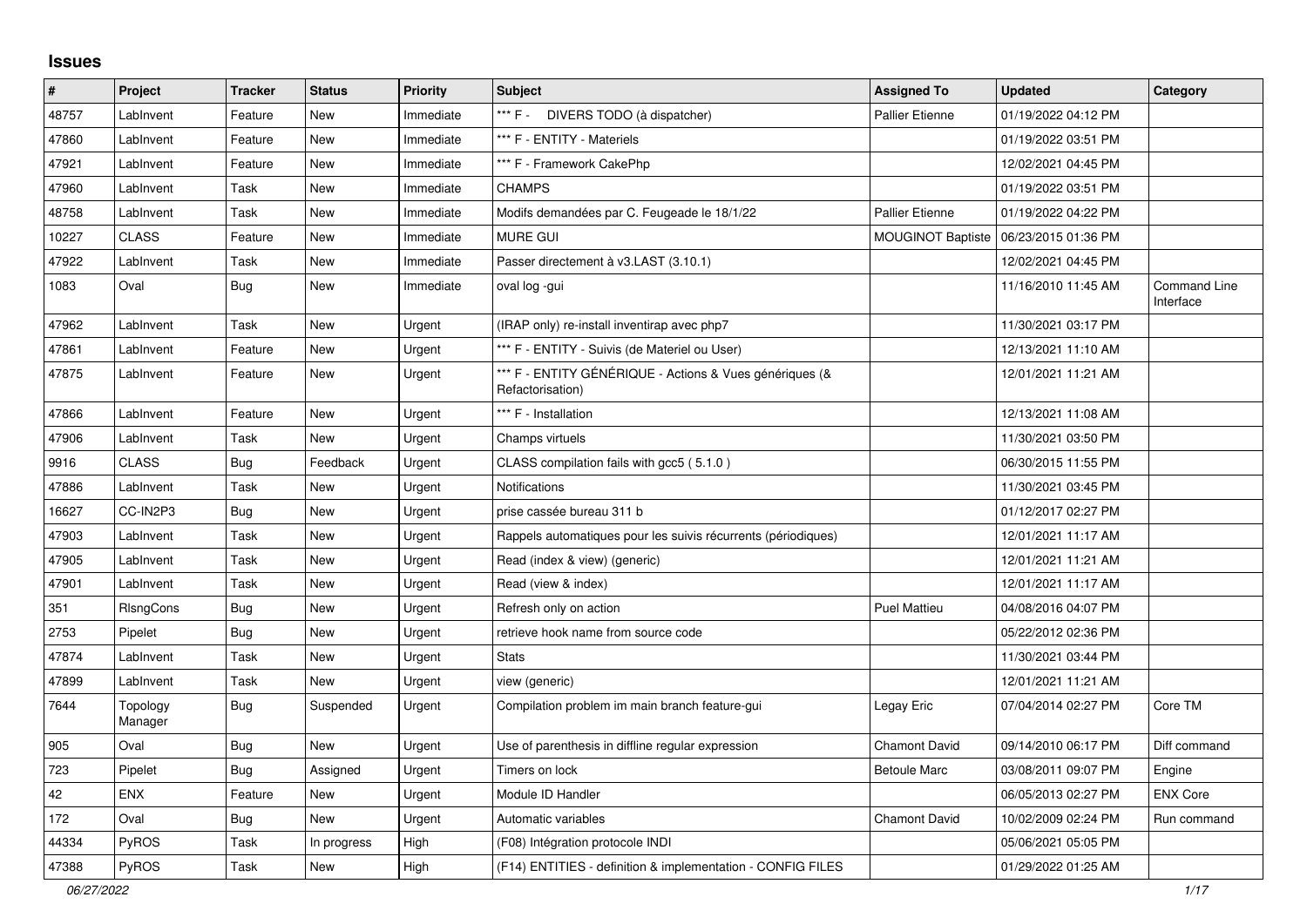## **Issues**

| $\sharp$ | Project             | <b>Tracker</b> | <b>Status</b> | <b>Priority</b> | <b>Subject</b>                                                              | <b>Assigned To</b>       | <b>Updated</b>      | Category                         |
|----------|---------------------|----------------|---------------|-----------------|-----------------------------------------------------------------------------|--------------------------|---------------------|----------------------------------|
| 48757    | LabInvent           | Feature        | <b>New</b>    | Immediate       | *** F - DIVERS TODO (à dispatcher)                                          | <b>Pallier Etienne</b>   | 01/19/2022 04:12 PM |                                  |
| 47860    | LabInvent           | Feature        | <b>New</b>    | Immediate       | *** F - ENTITY - Materiels                                                  |                          | 01/19/2022 03:51 PM |                                  |
| 47921    | LabInvent           | Feature        | New           | Immediate       | *** F - Framework CakePhp                                                   |                          | 12/02/2021 04:45 PM |                                  |
| 47960    | LabInvent           | Task           | New           | Immediate       | <b>CHAMPS</b>                                                               |                          | 01/19/2022 03:51 PM |                                  |
| 48758    | LabInvent           | Task           | <b>New</b>    | Immediate       | Modifs demandées par C. Feugeade le 18/1/22                                 | <b>Pallier Etienne</b>   | 01/19/2022 04:22 PM |                                  |
| 10227    | <b>CLASS</b>        | Feature        | <b>New</b>    | Immediate       | <b>MURE GUI</b>                                                             | <b>MOUGINOT Baptiste</b> | 06/23/2015 01:36 PM |                                  |
| 47922    | LabInvent           | Task           | <b>New</b>    | Immediate       | Passer directement à v3.LAST (3.10.1)                                       |                          | 12/02/2021 04:45 PM |                                  |
| 1083     | Oval                | Bug            | <b>New</b>    | Immediate       | oval log -gui                                                               |                          | 11/16/2010 11:45 AM | <b>Command Line</b><br>Interface |
| 47962    | LabInvent           | Task           | <b>New</b>    | Urgent          | (IRAP only) re-install inventirap avec php7                                 |                          | 11/30/2021 03:17 PM |                                  |
| 47861    | LabInvent           | Feature        | New           | Urgent          | *** F - ENTITY - Suivis (de Materiel ou User)                               |                          | 12/13/2021 11:10 AM |                                  |
| 47875    | LabInvent           | Feature        | New           | Urgent          | *** F - ENTITY GÉNÉRIQUE - Actions & Vues génériques (&<br>Refactorisation) |                          | 12/01/2021 11:21 AM |                                  |
| 47866    | LabInvent           | Feature        | <b>New</b>    | Urgent          | *** F - Installation                                                        |                          | 12/13/2021 11:08 AM |                                  |
| 47906    | LabInvent           | Task           | <b>New</b>    | Urgent          | Champs virtuels                                                             |                          | 11/30/2021 03:50 PM |                                  |
| 9916     | <b>CLASS</b>        | <b>Bug</b>     | Feedback      | Urgent          | CLASS compilation fails with gcc5 (5.1.0)                                   |                          | 06/30/2015 11:55 PM |                                  |
| 47886    | LabInvent           | Task           | New           | Urgent          | Notifications                                                               |                          | 11/30/2021 03:45 PM |                                  |
| 16627    | CC-IN2P3            | Bug            | <b>New</b>    | Urgent          | prise cassée bureau 311 b                                                   |                          | 01/12/2017 02:27 PM |                                  |
| 47903    | LabInvent           | Task           | <b>New</b>    | Urgent          | Rappels automatiques pour les suivis récurrents (périodiques)               |                          | 12/01/2021 11:17 AM |                                  |
| 47905    | LabInvent           | Task           | New           | Urgent          | Read (index & view) (generic)                                               |                          | 12/01/2021 11:21 AM |                                  |
| 47901    | LabInvent           | Task           | <b>New</b>    | Urgent          | Read (view & index)                                                         |                          | 12/01/2021 11:17 AM |                                  |
| 351      | RIsngCons           | Bug            | <b>New</b>    | Urgent          | Refresh only on action                                                      | <b>Puel Mattieu</b>      | 04/08/2016 04:07 PM |                                  |
| 2753     | Pipelet             | <b>Bug</b>     | New           | Urgent          | retrieve hook name from source code                                         |                          | 05/22/2012 02:36 PM |                                  |
| 47874    | LabInvent           | Task           | New           | Urgent          | <b>Stats</b>                                                                |                          | 11/30/2021 03:44 PM |                                  |
| 47899    | LabInvent           | Task           | New           | Urgent          | view (generic)                                                              |                          | 12/01/2021 11:21 AM |                                  |
| 7644     | Topology<br>Manager | <b>Bug</b>     | Suspended     | Urgent          | Compilation problem im main branch feature-gui                              | Legay Eric               | 07/04/2014 02:27 PM | Core TM                          |
| 905      | Oval                | Bug            | <b>New</b>    | Urgent          | Use of parenthesis in diffline regular expression                           | <b>Chamont David</b>     | 09/14/2010 06:17 PM | Diff command                     |
| 723      | Pipelet             | <b>Bug</b>     | Assigned      | Urgent          | Timers on lock                                                              | <b>Betoule Marc</b>      | 03/08/2011 09:07 PM | Engine                           |
| 42       | <b>ENX</b>          | Feature        | <b>New</b>    | Urgent          | Module ID Handler                                                           |                          | 06/05/2013 02:27 PM | <b>ENX Core</b>                  |
| 172      | Oval                | Bug            | New           | Urgent          | Automatic variables                                                         | Chamont David            | 10/02/2009 02:24 PM | Run command                      |
| 44334    | PyROS               | Task           | In progress   | High            | (F08) Intégration protocole INDI                                            |                          | 05/06/2021 05:05 PM |                                  |
| 47388    | PyROS               | Task           | <b>New</b>    | High            | (F14) ENTITIES - definition & implementation - CONFIG FILES                 |                          | 01/29/2022 01:25 AM |                                  |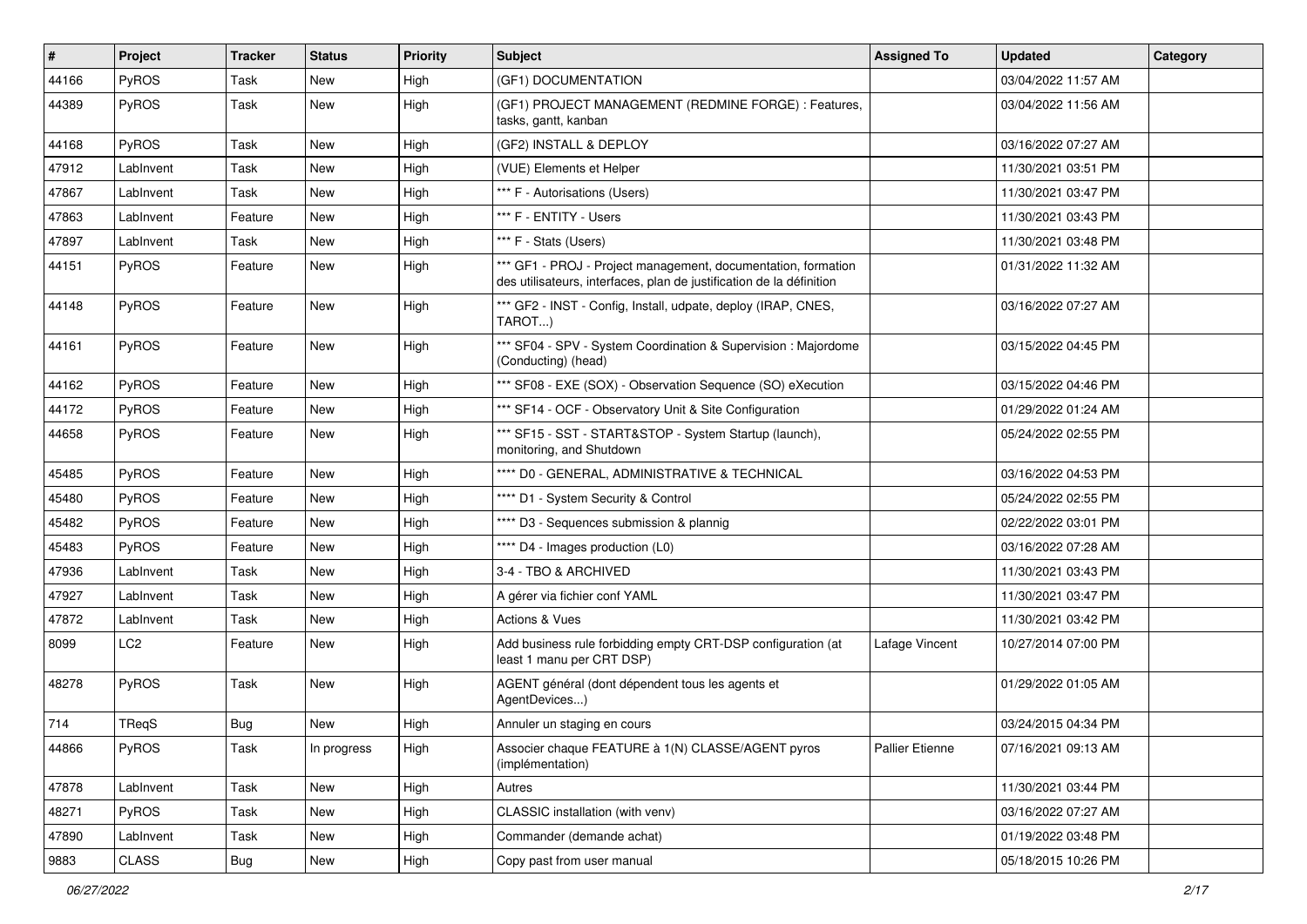| $\sharp$ | Project         | <b>Tracker</b> | <b>Status</b> | <b>Priority</b> | <b>Subject</b>                                                                                                                        | <b>Assigned To</b>     | <b>Updated</b>      | <b>Category</b> |
|----------|-----------------|----------------|---------------|-----------------|---------------------------------------------------------------------------------------------------------------------------------------|------------------------|---------------------|-----------------|
| 44166    | PyROS           | Task           | <b>New</b>    | High            | (GF1) DOCUMENTATION                                                                                                                   |                        | 03/04/2022 11:57 AM |                 |
| 44389    | PyROS           | Task           | New           | High            | (GF1) PROJECT MANAGEMENT (REDMINE FORGE) : Features,<br>tasks, gantt, kanban                                                          |                        | 03/04/2022 11:56 AM |                 |
| 44168    | PyROS           | Task           | New           | High            | (GF2) INSTALL & DEPLOY                                                                                                                |                        | 03/16/2022 07:27 AM |                 |
| 47912    | LabInvent       | Task           | New           | High            | (VUE) Elements et Helper                                                                                                              |                        | 11/30/2021 03:51 PM |                 |
| 47867    | LabInvent       | Task           | New           | High            | *** F - Autorisations (Users)                                                                                                         |                        | 11/30/2021 03:47 PM |                 |
| 47863    | LabInvent       | Feature        | <b>New</b>    | High            | *** F - ENTITY - Users                                                                                                                |                        | 11/30/2021 03:43 PM |                 |
| 47897    | LabInvent       | Task           | New           | High            | *** F - Stats (Users)                                                                                                                 |                        | 11/30/2021 03:48 PM |                 |
| 44151    | PyROS           | Feature        | <b>New</b>    | High            | *** GF1 - PROJ - Project management, documentation, formation<br>des utilisateurs, interfaces, plan de justification de la définition |                        | 01/31/2022 11:32 AM |                 |
| 44148    | PyROS           | Feature        | New           | High            | *** GF2 - INST - Config, Install, udpate, deploy (IRAP, CNES,<br>TAROT)                                                               |                        | 03/16/2022 07:27 AM |                 |
| 44161    | PyROS           | Feature        | New           | High            | *** SF04 - SPV - System Coordination & Supervision : Majordome<br>(Conducting) (head)                                                 |                        | 03/15/2022 04:45 PM |                 |
| 44162    | PyROS           | Feature        | New           | High            | *** SF08 - EXE (SOX) - Observation Sequence (SO) eXecution                                                                            |                        | 03/15/2022 04:46 PM |                 |
| 44172    | PyROS           | Feature        | New           | High            | *** SF14 - OCF - Observatory Unit & Site Configuration                                                                                |                        | 01/29/2022 01:24 AM |                 |
| 44658    | PyROS           | Feature        | New           | High            | *** SF15 - SST - START&STOP - System Startup (launch),<br>monitoring, and Shutdown                                                    |                        | 05/24/2022 02:55 PM |                 |
| 45485    | PyROS           | Feature        | New           | High            | **** D0 - GENERAL, ADMINISTRATIVE & TECHNICAL                                                                                         |                        | 03/16/2022 04:53 PM |                 |
| 45480    | PyROS           | Feature        | New           | High            | **** D1 - System Security & Control                                                                                                   |                        | 05/24/2022 02:55 PM |                 |
| 45482    | PyROS           | Feature        | <b>New</b>    | High            | **** D3 - Sequences submission & plannig                                                                                              |                        | 02/22/2022 03:01 PM |                 |
| 45483    | PyROS           | Feature        | New           | High            | **** D4 - Images production (L0)                                                                                                      |                        | 03/16/2022 07:28 AM |                 |
| 47936    | LabInvent       | Task           | <b>New</b>    | High            | 3-4 - TBO & ARCHIVED                                                                                                                  |                        | 11/30/2021 03:43 PM |                 |
| 47927    | LabInvent       | Task           | New           | High            | A gérer via fichier conf YAML                                                                                                         |                        | 11/30/2021 03:47 PM |                 |
| 47872    | LabInvent       | Task           | <b>New</b>    | High            | Actions & Vues                                                                                                                        |                        | 11/30/2021 03:42 PM |                 |
| 8099     | LC <sub>2</sub> | Feature        | New           | High            | Add business rule forbidding empty CRT-DSP configuration (at<br>least 1 manu per CRT DSP)                                             | Lafage Vincent         | 10/27/2014 07:00 PM |                 |
| 48278    | PyROS           | Task           | New           | High            | AGENT général (dont dépendent tous les agents et<br>AgentDevices)                                                                     |                        | 01/29/2022 01:05 AM |                 |
| 714      | TReqS           | <b>Bug</b>     | New           | High            | Annuler un staging en cours                                                                                                           |                        | 03/24/2015 04:34 PM |                 |
| 44866    | PyROS           | Task           | In progress   | High            | Associer chaque FEATURE à 1(N) CLASSE/AGENT pyros<br>(implémentation)                                                                 | <b>Pallier Etienne</b> | 07/16/2021 09:13 AM |                 |
| 47878    | LabInvent       | Task           | New           | High            | Autres                                                                                                                                |                        | 11/30/2021 03:44 PM |                 |
| 48271    | PyROS           | Task           | New           | High            | CLASSIC installation (with venv)                                                                                                      |                        | 03/16/2022 07:27 AM |                 |
| 47890    | LabInvent       | Task           | New           | High            | Commander (demande achat)                                                                                                             |                        | 01/19/2022 03:48 PM |                 |
| 9883     | CLASS           | Bug            | New           | High            | Copy past from user manual                                                                                                            |                        | 05/18/2015 10:26 PM |                 |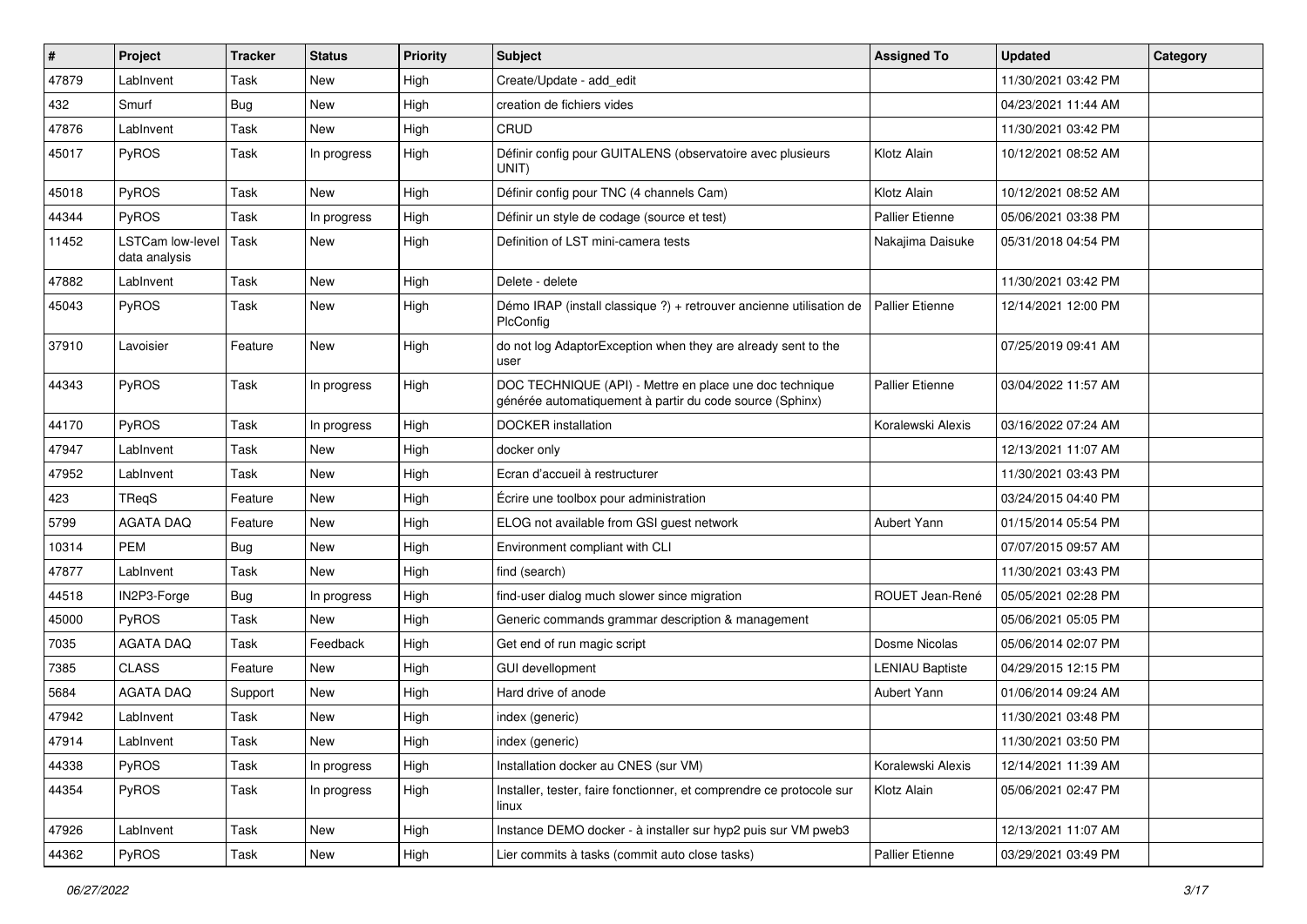| $\sharp$ | Project                           | <b>Tracker</b> | <b>Status</b> | <b>Priority</b> | <b>Subject</b>                                                                                                      | <b>Assigned To</b>     | <b>Updated</b>      | Category |
|----------|-----------------------------------|----------------|---------------|-----------------|---------------------------------------------------------------------------------------------------------------------|------------------------|---------------------|----------|
| 47879    | LabInvent                         | Task           | <b>New</b>    | High            | Create/Update - add_edit                                                                                            |                        | 11/30/2021 03:42 PM |          |
| 432      | Smurf                             | Bug            | New           | High            | creation de fichiers vides                                                                                          |                        | 04/23/2021 11:44 AM |          |
| 47876    | LabInvent                         | Task           | <b>New</b>    | High            | CRUD                                                                                                                |                        | 11/30/2021 03:42 PM |          |
| 45017    | PyROS                             | Task           | In progress   | High            | Définir config pour GUITALENS (observatoire avec plusieurs<br>UNIT)                                                 | Klotz Alain            | 10/12/2021 08:52 AM |          |
| 45018    | PyROS                             | Task           | <b>New</b>    | High            | Définir config pour TNC (4 channels Cam)                                                                            | Klotz Alain            | 10/12/2021 08:52 AM |          |
| 44344    | <b>PyROS</b>                      | Task           | In progress   | High            | Définir un style de codage (source et test)                                                                         | <b>Pallier Etienne</b> | 05/06/2021 03:38 PM |          |
| 11452    | LSTCam low-level<br>data analysis | Task           | New           | High            | Definition of LST mini-camera tests                                                                                 | Nakajima Daisuke       | 05/31/2018 04:54 PM |          |
| 47882    | LabInvent                         | Task           | New           | High            | Delete - delete                                                                                                     |                        | 11/30/2021 03:42 PM |          |
| 45043    | PyROS                             | Task           | New           | High            | Démo IRAP (install classique ?) + retrouver ancienne utilisation de<br>PlcConfig                                    | <b>Pallier Etienne</b> | 12/14/2021 12:00 PM |          |
| 37910    | Lavoisier                         | Feature        | New           | High            | do not log AdaptorException when they are already sent to the<br>user                                               |                        | 07/25/2019 09:41 AM |          |
| 44343    | PyROS                             | Task           | In progress   | High            | DOC TECHNIQUE (API) - Mettre en place une doc technique<br>générée automatiquement à partir du code source (Sphinx) | <b>Pallier Etienne</b> | 03/04/2022 11:57 AM |          |
| 44170    | PyROS                             | Task           | In progress   | High            | <b>DOCKER</b> installation                                                                                          | Koralewski Alexis      | 03/16/2022 07:24 AM |          |
| 47947    | LabInvent                         | Task           | <b>New</b>    | High            | docker only                                                                                                         |                        | 12/13/2021 11:07 AM |          |
| 47952    | LabInvent                         | Task           | New           | High            | Ecran d'accueil à restructurer                                                                                      |                        | 11/30/2021 03:43 PM |          |
| 423      | TReqS                             | Feature        | New           | High            | Écrire une toolbox pour administration                                                                              |                        | 03/24/2015 04:40 PM |          |
| 5799     | <b>AGATA DAQ</b>                  | Feature        | <b>New</b>    | High            | ELOG not available from GSI guest network                                                                           | Aubert Yann            | 01/15/2014 05:54 PM |          |
| 10314    | <b>PEM</b>                        | <b>Bug</b>     | New           | High            | Environment compliant with CLI                                                                                      |                        | 07/07/2015 09:57 AM |          |
| 47877    | LabInvent                         | Task           | <b>New</b>    | High            | find (search)                                                                                                       |                        | 11/30/2021 03:43 PM |          |
| 44518    | IN2P3-Forge                       | <b>Bug</b>     | In progress   | High            | find-user dialog much slower since migration                                                                        | ROUET Jean-René        | 05/05/2021 02:28 PM |          |
| 45000    | PyROS                             | Task           | <b>New</b>    | High            | Generic commands grammar description & management                                                                   |                        | 05/06/2021 05:05 PM |          |
| 7035     | <b>AGATA DAQ</b>                  | Task           | Feedback      | High            | Get end of run magic script                                                                                         | Dosme Nicolas          | 05/06/2014 02:07 PM |          |
| 7385     | <b>CLASS</b>                      | Feature        | <b>New</b>    | High            | GUI devellopment                                                                                                    | <b>LENIAU Baptiste</b> | 04/29/2015 12:15 PM |          |
| 5684     | <b>AGATA DAQ</b>                  | Support        | New           | High            | Hard drive of anode                                                                                                 | Aubert Yann            | 01/06/2014 09:24 AM |          |
| 47942    | LabInvent                         | Task           | New           | High            | index (generic)                                                                                                     |                        | 11/30/2021 03:48 PM |          |
| 47914    | LabInvent                         | Task           | <b>New</b>    | High            | index (generic)                                                                                                     |                        | 11/30/2021 03:50 PM |          |
| 44338    | PyROS                             | Task           | In progress   | High            | Installation docker au CNES (sur VM)                                                                                | Koralewski Alexis      | 12/14/2021 11:39 AM |          |
| 44354    | PyROS                             | Task           | In progress   | High            | Installer, tester, faire fonctionner, et comprendre ce protocole sur<br>linux                                       | Klotz Alain            | 05/06/2021 02:47 PM |          |
| 47926    | LabInvent                         | Task           | New           | High            | Instance DEMO docker - à installer sur hyp2 puis sur VM pweb3                                                       |                        | 12/13/2021 11:07 AM |          |
| 44362    | PyROS                             | Task           | New           | High            | Lier commits à tasks (commit auto close tasks)                                                                      | <b>Pallier Etienne</b> | 03/29/2021 03:49 PM |          |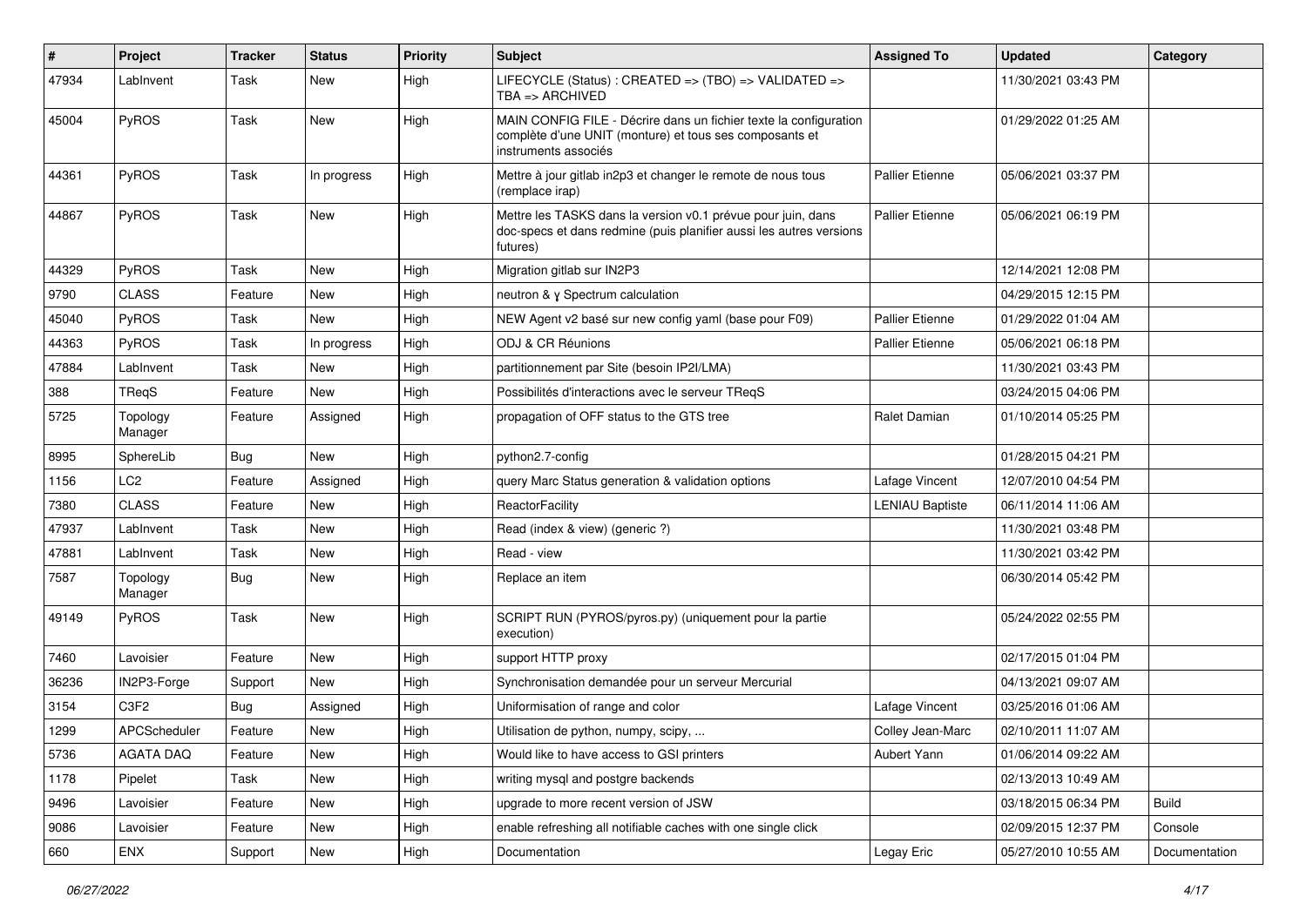| $\vert$ # | Project             | Tracker    | <b>Status</b> | <b>Priority</b> | <b>Subject</b>                                                                                                                                       | <b>Assigned To</b>     | <b>Updated</b>      | Category      |
|-----------|---------------------|------------|---------------|-----------------|------------------------------------------------------------------------------------------------------------------------------------------------------|------------------------|---------------------|---------------|
| 47934     | LabInvent           | Task       | New           | High            | LIFECYCLE (Status): CREATED => (TBO) => VALIDATED =><br>TBA => ARCHIVED                                                                              |                        | 11/30/2021 03:43 PM |               |
| 45004     | PyROS               | Task       | <b>New</b>    | High            | MAIN CONFIG FILE - Décrire dans un fichier texte la configuration<br>complète d'une UNIT (monture) et tous ses composants et<br>instruments associés |                        | 01/29/2022 01:25 AM |               |
| 44361     | PyROS               | Task       | In progress   | High            | Mettre à jour gitlab in2p3 et changer le remote de nous tous<br>(remplace irap)                                                                      | <b>Pallier Etienne</b> | 05/06/2021 03:37 PM |               |
| 44867     | PyROS               | Task       | New           | High            | Mettre les TASKS dans la version v0.1 prévue pour juin, dans<br>doc-specs et dans redmine (puis planifier aussi les autres versions<br>futures)      | Pallier Etienne        | 05/06/2021 06:19 PM |               |
| 44329     | PyROS               | Task       | New           | High            | Migration gitlab sur IN2P3                                                                                                                           |                        | 12/14/2021 12:08 PM |               |
| 9790      | <b>CLASS</b>        | Feature    | <b>New</b>    | High            | neutron & y Spectrum calculation                                                                                                                     |                        | 04/29/2015 12:15 PM |               |
| 45040     | PyROS               | Task       | <b>New</b>    | High            | NEW Agent v2 basé sur new config yaml (base pour F09)                                                                                                | <b>Pallier Etienne</b> | 01/29/2022 01:04 AM |               |
| 44363     | PyROS               | Task       | In progress   | High            | ODJ & CR Réunions                                                                                                                                    | <b>Pallier Etienne</b> | 05/06/2021 06:18 PM |               |
| 47884     | LabInvent           | Task       | <b>New</b>    | High            | partitionnement par Site (besoin IP2I/LMA)                                                                                                           |                        | 11/30/2021 03:43 PM |               |
| 388       | TReqS               | Feature    | New           | High            | Possibilités d'interactions avec le serveur TReqS                                                                                                    |                        | 03/24/2015 04:06 PM |               |
| 5725      | Topology<br>Manager | Feature    | Assigned      | High            | propagation of OFF status to the GTS tree                                                                                                            | Ralet Damian           | 01/10/2014 05:25 PM |               |
| 8995      | SphereLib           | <b>Bug</b> | <b>New</b>    | High            | python2.7-config                                                                                                                                     |                        | 01/28/2015 04:21 PM |               |
| 1156      | LC <sub>2</sub>     | Feature    | Assigned      | High            | query Marc Status generation & validation options                                                                                                    | Lafage Vincent         | 12/07/2010 04:54 PM |               |
| 7380      | <b>CLASS</b>        | Feature    | <b>New</b>    | High            | ReactorFacility                                                                                                                                      | <b>LENIAU Baptiste</b> | 06/11/2014 11:06 AM |               |
| 47937     | LabInvent           | Task       | New           | High            | Read (index & view) (generic ?)                                                                                                                      |                        | 11/30/2021 03:48 PM |               |
| 47881     | LabInvent           | Task       | <b>New</b>    | High            | Read - view                                                                                                                                          |                        | 11/30/2021 03:42 PM |               |
| 7587      | Topology<br>Manager | Bug        | New           | High            | Replace an item                                                                                                                                      |                        | 06/30/2014 05:42 PM |               |
| 49149     | PyROS               | Task       | <b>New</b>    | High            | SCRIPT RUN (PYROS/pyros.py) (uniquement pour la partie<br>execution)                                                                                 |                        | 05/24/2022 02:55 PM |               |
| 7460      | Lavoisier           | Feature    | <b>New</b>    | High            | support HTTP proxy                                                                                                                                   |                        | 02/17/2015 01:04 PM |               |
| 36236     | IN2P3-Forge         | Support    | <b>New</b>    | High            | Synchronisation demandée pour un serveur Mercurial                                                                                                   |                        | 04/13/2021 09:07 AM |               |
| 3154      | C <sub>3F2</sub>    | <b>Bug</b> | Assigned      | High            | Uniformisation of range and color                                                                                                                    | Lafage Vincent         | 03/25/2016 01:06 AM |               |
| 1299      | APCScheduler        | Feature    | New           | High            | Utilisation de python, numpy, scipy,                                                                                                                 | Colley Jean-Marc       | 02/10/2011 11:07 AM |               |
| 5736      | AGATA DAQ           | Feature    | New           | High            | Would like to have access to GSI printers                                                                                                            | Aubert Yann            | 01/06/2014 09:22 AM |               |
| 1178      | Pipelet             | Task       | New           | High            | writing mysql and postgre backends                                                                                                                   |                        | 02/13/2013 10:49 AM |               |
| 9496      | Lavoisier           | Feature    | New           | High            | upgrade to more recent version of JSW                                                                                                                |                        | 03/18/2015 06:34 PM | <b>Build</b>  |
| 9086      | Lavoisier           | Feature    | New           | High            | enable refreshing all notifiable caches with one single click                                                                                        |                        | 02/09/2015 12:37 PM | Console       |
| 660       | ENX                 | Support    | New           | High            | Documentation                                                                                                                                        | Legay Eric             | 05/27/2010 10:55 AM | Documentation |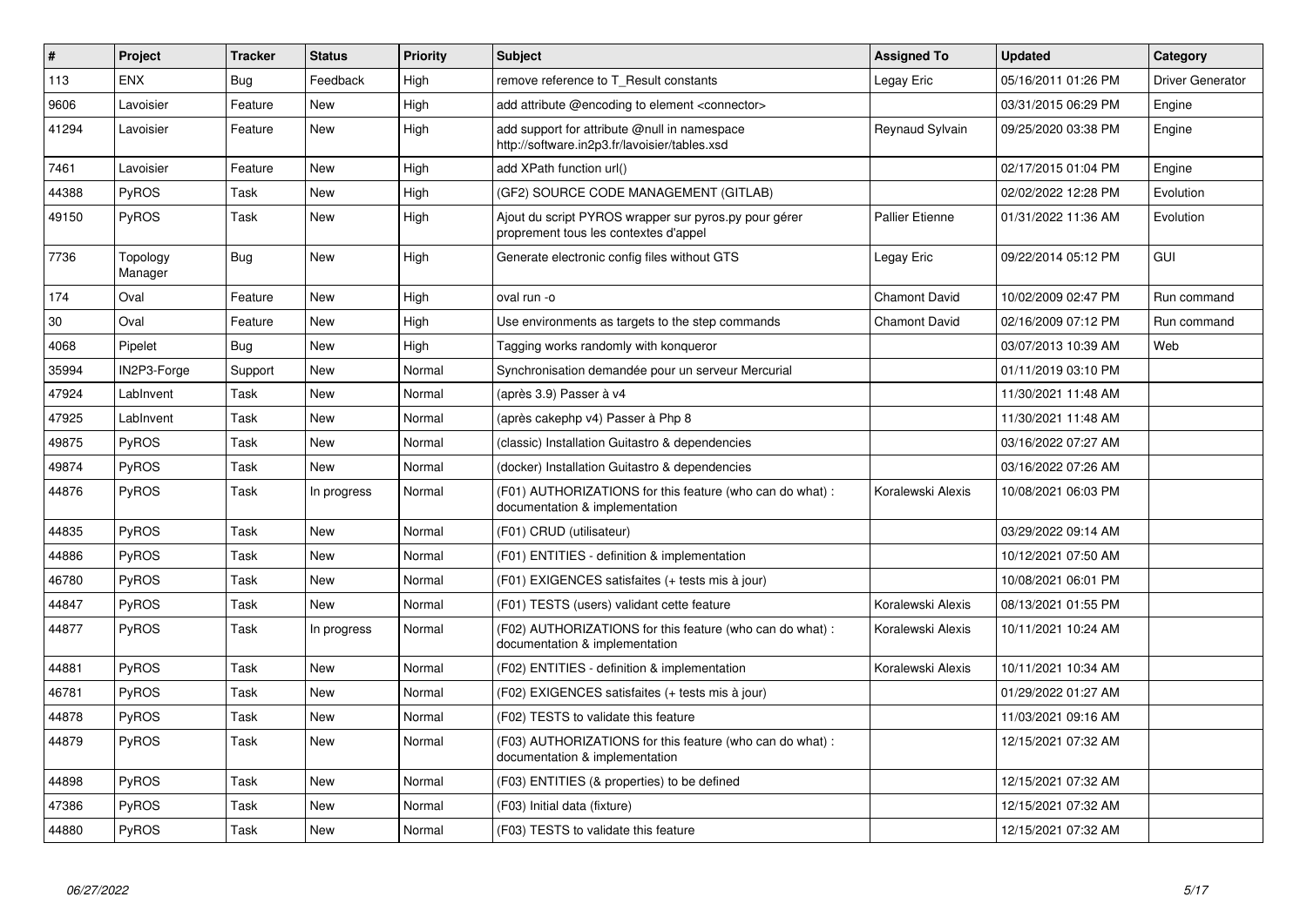| #     | <b>Project</b>      | <b>Tracker</b> | <b>Status</b> | <b>Priority</b> | <b>Subject</b>                                                                                 | <b>Assigned To</b>     | <b>Updated</b>      | Category         |
|-------|---------------------|----------------|---------------|-----------------|------------------------------------------------------------------------------------------------|------------------------|---------------------|------------------|
| 113   | <b>ENX</b>          | Bug            | Feedback      | High            | remove reference to T Result constants                                                         | Legay Eric             | 05/16/2011 01:26 PM | Driver Generator |
| 9606  | Lavoisier           | Feature        | New           | High            | add attribute @encoding to element <connector></connector>                                     |                        | 03/31/2015 06:29 PM | Engine           |
| 41294 | Lavoisier           | Feature        | New           | High            | add support for attribute @null in namespace<br>http://software.in2p3.fr/lavoisier/tables.xsd  | Reynaud Sylvain        | 09/25/2020 03:38 PM | Engine           |
| 7461  | Lavoisier           | Feature        | <b>New</b>    | High            | add XPath function url()                                                                       |                        | 02/17/2015 01:04 PM | Engine           |
| 44388 | <b>PyROS</b>        | Task           | New           | High            | (GF2) SOURCE CODE MANAGEMENT (GITLAB)                                                          |                        | 02/02/2022 12:28 PM | Evolution        |
| 49150 | <b>PyROS</b>        | Task           | New           | High            | Ajout du script PYROS wrapper sur pyros.py pour gérer<br>proprement tous les contextes d'appel | <b>Pallier Etienne</b> | 01/31/2022 11:36 AM | Evolution        |
| 7736  | Topology<br>Manager | <b>Bug</b>     | <b>New</b>    | High            | Generate electronic config files without GTS                                                   | Legay Eric             | 09/22/2014 05:12 PM | <b>GUI</b>       |
| 174   | Oval                | Feature        | <b>New</b>    | High            | oval run -o                                                                                    | <b>Chamont David</b>   | 10/02/2009 02:47 PM | Run command      |
| 30    | Oval                | Feature        | New           | High            | Use environments as targets to the step commands                                               | <b>Chamont David</b>   | 02/16/2009 07:12 PM | Run command      |
| 4068  | Pipelet             | <b>Bug</b>     | New           | High            | Tagging works randomly with konqueror                                                          |                        | 03/07/2013 10:39 AM | Web              |
| 35994 | IN2P3-Forge         | Support        | New           | Normal          | Synchronisation demandée pour un serveur Mercurial                                             |                        | 01/11/2019 03:10 PM |                  |
| 47924 | LabInvent           | Task           | <b>New</b>    | Normal          | (après 3.9) Passer à v4                                                                        |                        | 11/30/2021 11:48 AM |                  |
| 47925 | LabInvent           | Task           | New           | Normal          | (après cakephp v4) Passer à Php 8                                                              |                        | 11/30/2021 11:48 AM |                  |
| 49875 | <b>PyROS</b>        | Task           | <b>New</b>    | Normal          | (classic) Installation Guitastro & dependencies                                                |                        | 03/16/2022 07:27 AM |                  |
| 49874 | PyROS               | Task           | <b>New</b>    | Normal          | (docker) Installation Guitastro & dependencies                                                 |                        | 03/16/2022 07:26 AM |                  |
| 44876 | <b>PyROS</b>        | Task           | In progress   | Normal          | (F01) AUTHORIZATIONS for this feature (who can do what) :<br>documentation & implementation    | Koralewski Alexis      | 10/08/2021 06:03 PM |                  |
| 44835 | <b>PyROS</b>        | Task           | <b>New</b>    | Normal          | (F01) CRUD (utilisateur)                                                                       |                        | 03/29/2022 09:14 AM |                  |
| 44886 | PyROS               | Task           | <b>New</b>    | Normal          | (F01) ENTITIES - definition & implementation                                                   |                        | 10/12/2021 07:50 AM |                  |
| 46780 | <b>PyROS</b>        | Task           | New           | Normal          | (F01) EXIGENCES satisfaites (+ tests mis à jour)                                               |                        | 10/08/2021 06:01 PM |                  |
| 44847 | PyROS               | Task           | New           | Normal          | (F01) TESTS (users) validant cette feature                                                     | Koralewski Alexis      | 08/13/2021 01:55 PM |                  |
| 44877 | <b>PyROS</b>        | Task           | In progress   | Normal          | (F02) AUTHORIZATIONS for this feature (who can do what) :<br>documentation & implementation    | Koralewski Alexis      | 10/11/2021 10:24 AM |                  |
| 44881 | PyROS               | Task           | New           | Normal          | (F02) ENTITIES - definition & implementation                                                   | Koralewski Alexis      | 10/11/2021 10:34 AM |                  |
| 46781 | <b>PyROS</b>        | Task           | <b>New</b>    | Normal          | (F02) EXIGENCES satisfaites (+ tests mis à jour)                                               |                        | 01/29/2022 01:27 AM |                  |
| 44878 | <b>PyROS</b>        | Task           | <b>New</b>    | Normal          | (F02) TESTS to validate this feature                                                           |                        | 11/03/2021 09:16 AM |                  |
| 44879 | <b>PyROS</b>        | Task           | New           | Normal          | (F03) AUTHORIZATIONS for this feature (who can do what):<br>documentation & implementation     |                        | 12/15/2021 07:32 AM |                  |
| 44898 | PyROS               | Task           | <b>New</b>    | Normal          | (F03) ENTITIES (& properties) to be defined                                                    |                        | 12/15/2021 07:32 AM |                  |
| 47386 | <b>PyROS</b>        | Task           | New           | Normal          | (F03) Initial data (fixture)                                                                   |                        | 12/15/2021 07:32 AM |                  |
| 44880 | PyROS               | Task           | <b>New</b>    | Normal          | (F03) TESTS to validate this feature                                                           |                        | 12/15/2021 07:32 AM |                  |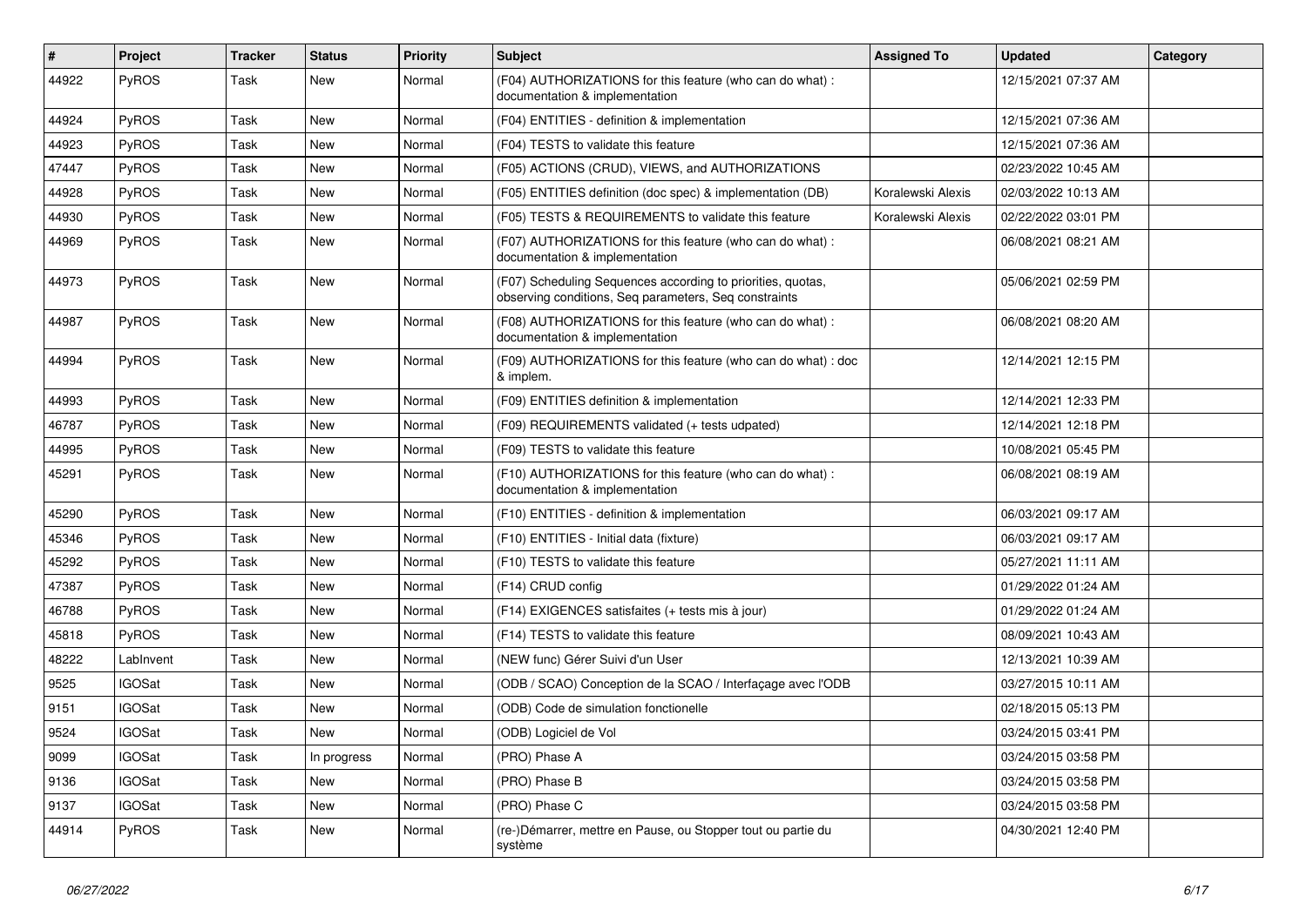| $\sharp$ | Project       | Tracker | <b>Status</b> | <b>Priority</b> | <b>Subject</b>                                                                                                       | <b>Assigned To</b> | <b>Updated</b>      | Category |
|----------|---------------|---------|---------------|-----------------|----------------------------------------------------------------------------------------------------------------------|--------------------|---------------------|----------|
| 44922    | PyROS         | Task    | <b>New</b>    | Normal          | (F04) AUTHORIZATIONS for this feature (who can do what) :<br>documentation & implementation                          |                    | 12/15/2021 07:37 AM |          |
| 44924    | PyROS         | Task    | <b>New</b>    | Normal          | (F04) ENTITIES - definition & implementation                                                                         |                    | 12/15/2021 07:36 AM |          |
| 44923    | PyROS         | Task    | <b>New</b>    | Normal          | (F04) TESTS to validate this feature                                                                                 |                    | 12/15/2021 07:36 AM |          |
| 47447    | PyROS         | Task    | <b>New</b>    | Normal          | (F05) ACTIONS (CRUD), VIEWS, and AUTHORIZATIONS                                                                      |                    | 02/23/2022 10:45 AM |          |
| 44928    | PyROS         | Task    | <b>New</b>    | Normal          | (F05) ENTITIES definition (doc spec) & implementation (DB)                                                           | Koralewski Alexis  | 02/03/2022 10:13 AM |          |
| 44930    | PyROS         | Task    | <b>New</b>    | Normal          | (F05) TESTS & REQUIREMENTS to validate this feature                                                                  | Koralewski Alexis  | 02/22/2022 03:01 PM |          |
| 44969    | PyROS         | Task    | New           | Normal          | (F07) AUTHORIZATIONS for this feature (who can do what) :<br>documentation & implementation                          |                    | 06/08/2021 08:21 AM |          |
| 44973    | PyROS         | Task    | <b>New</b>    | Normal          | (F07) Scheduling Sequences according to priorities, quotas,<br>observing conditions, Seq parameters, Seq constraints |                    | 05/06/2021 02:59 PM |          |
| 44987    | PyROS         | Task    | New           | Normal          | (F08) AUTHORIZATIONS for this feature (who can do what) :<br>documentation & implementation                          |                    | 06/08/2021 08:20 AM |          |
| 44994    | PyROS         | Task    | New           | Normal          | (F09) AUTHORIZATIONS for this feature (who can do what): doc<br>& implem.                                            |                    | 12/14/2021 12:15 PM |          |
| 44993    | PyROS         | Task    | New           | Normal          | (F09) ENTITIES definition & implementation                                                                           |                    | 12/14/2021 12:33 PM |          |
| 46787    | PyROS         | Task    | <b>New</b>    | Normal          | (F09) REQUIREMENTS validated (+ tests udpated)                                                                       |                    | 12/14/2021 12:18 PM |          |
| 44995    | PyROS         | Task    | <b>New</b>    | Normal          | (F09) TESTS to validate this feature                                                                                 |                    | 10/08/2021 05:45 PM |          |
| 45291    | PyROS         | Task    | New           | Normal          | (F10) AUTHORIZATIONS for this feature (who can do what) :<br>documentation & implementation                          |                    | 06/08/2021 08:19 AM |          |
| 45290    | PyROS         | Task    | <b>New</b>    | Normal          | (F10) ENTITIES - definition & implementation                                                                         |                    | 06/03/2021 09:17 AM |          |
| 45346    | PyROS         | Task    | <b>New</b>    | Normal          | (F10) ENTITIES - Initial data (fixture)                                                                              |                    | 06/03/2021 09:17 AM |          |
| 45292    | PyROS         | Task    | <b>New</b>    | Normal          | (F10) TESTS to validate this feature                                                                                 |                    | 05/27/2021 11:11 AM |          |
| 47387    | PyROS         | Task    | New           | Normal          | (F14) CRUD config                                                                                                    |                    | 01/29/2022 01:24 AM |          |
| 46788    | PyROS         | Task    | <b>New</b>    | Normal          | (F14) EXIGENCES satisfaites (+ tests mis à jour)                                                                     |                    | 01/29/2022 01:24 AM |          |
| 45818    | PyROS         | Task    | <b>New</b>    | Normal          | (F14) TESTS to validate this feature                                                                                 |                    | 08/09/2021 10:43 AM |          |
| 48222    | LabInvent     | Task    | New           | Normal          | (NEW func) Gérer Suivi d'un User                                                                                     |                    | 12/13/2021 10:39 AM |          |
| 9525     | <b>IGOSat</b> | Task    | <b>New</b>    | Normal          | (ODB / SCAO) Conception de la SCAO / Interfaçage avec l'ODB                                                          |                    | 03/27/2015 10:11 AM |          |
| 9151     | <b>IGOSat</b> | Task    | <b>New</b>    | Normal          | (ODB) Code de simulation fonctionelle                                                                                |                    | 02/18/2015 05:13 PM |          |
| 9524     | <b>IGOSat</b> | Task    | New           | Normal          | (ODB) Logiciel de Vol                                                                                                |                    | 03/24/2015 03:41 PM |          |
| 9099     | <b>IGOSat</b> | Task    | In progress   | Normal          | (PRO) Phase A                                                                                                        |                    | 03/24/2015 03:58 PM |          |
| 9136     | <b>IGOSat</b> | Task    | New           | Normal          | (PRO) Phase B                                                                                                        |                    | 03/24/2015 03:58 PM |          |
| 9137     | <b>IGOSat</b> | Task    | New           | Normal          | (PRO) Phase C                                                                                                        |                    | 03/24/2015 03:58 PM |          |
| 44914    | PyROS         | Task    | New           | Normal          | (re-)Démarrer, mettre en Pause, ou Stopper tout ou partie du<br>système                                              |                    | 04/30/2021 12:40 PM |          |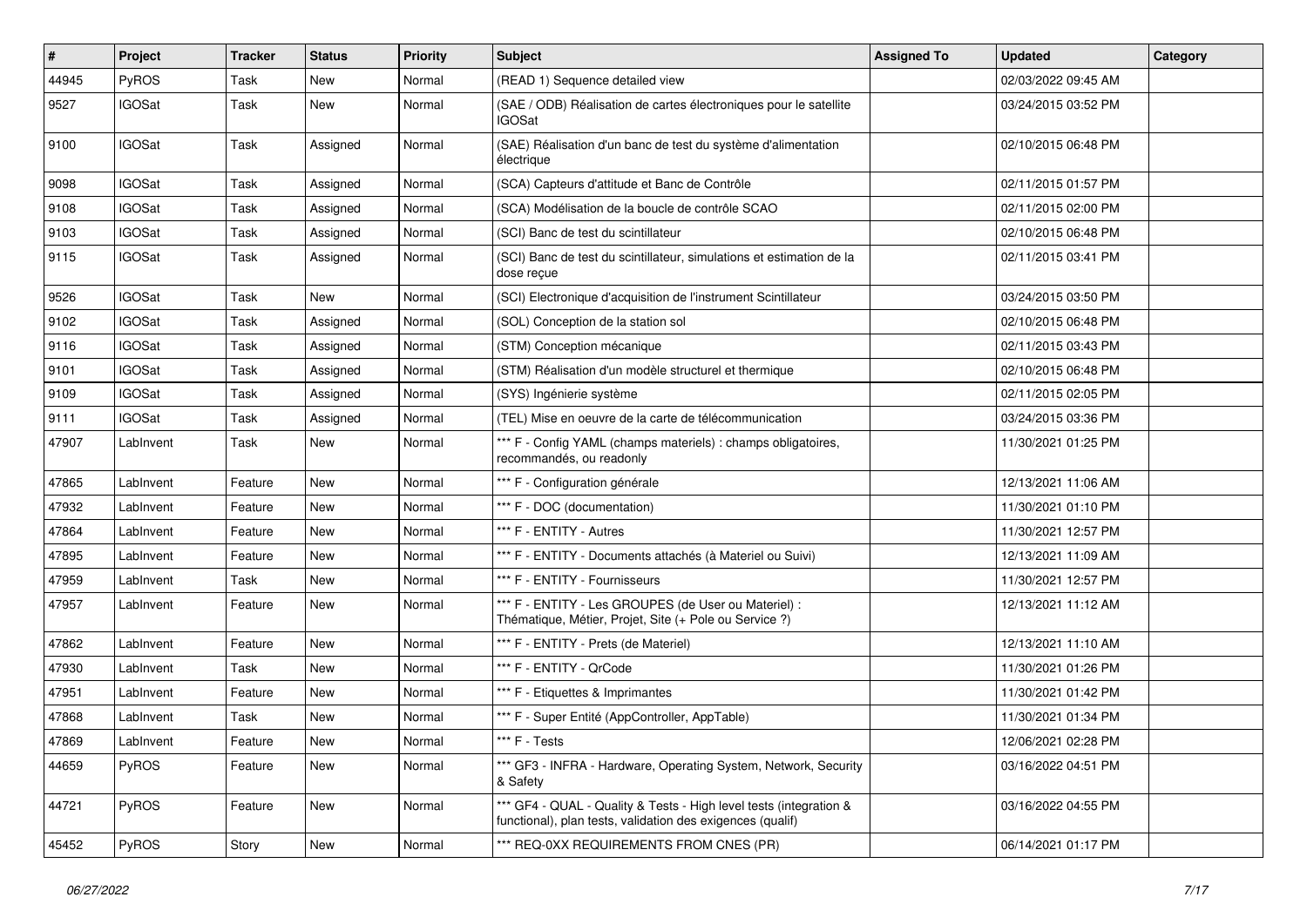| #     | Project       | Tracker | <b>Status</b> | <b>Priority</b> | <b>Subject</b>                                                                                                                   | <b>Assigned To</b> | <b>Updated</b>      | <b>Category</b> |
|-------|---------------|---------|---------------|-----------------|----------------------------------------------------------------------------------------------------------------------------------|--------------------|---------------------|-----------------|
| 44945 | PyROS         | Task    | <b>New</b>    | Normal          | (READ 1) Sequence detailed view                                                                                                  |                    | 02/03/2022 09:45 AM |                 |
| 9527  | <b>IGOSat</b> | Task    | <b>New</b>    | Normal          | (SAE / ODB) Réalisation de cartes électroniques pour le satellite<br><b>IGOSat</b>                                               |                    | 03/24/2015 03:52 PM |                 |
| 9100  | <b>IGOSat</b> | Task    | Assigned      | Normal          | (SAE) Réalisation d'un banc de test du système d'alimentation<br>électrique                                                      |                    | 02/10/2015 06:48 PM |                 |
| 9098  | <b>IGOSat</b> | Task    | Assigned      | Normal          | (SCA) Capteurs d'attitude et Banc de Contrôle                                                                                    |                    | 02/11/2015 01:57 PM |                 |
| 9108  | <b>IGOSat</b> | Task    | Assigned      | Normal          | (SCA) Modélisation de la boucle de contrôle SCAO                                                                                 |                    | 02/11/2015 02:00 PM |                 |
| 9103  | <b>IGOSat</b> | Task    | Assigned      | Normal          | (SCI) Banc de test du scintillateur                                                                                              |                    | 02/10/2015 06:48 PM |                 |
| 9115  | <b>IGOSat</b> | Task    | Assigned      | Normal          | (SCI) Banc de test du scintillateur, simulations et estimation de la<br>dose reçue                                               |                    | 02/11/2015 03:41 PM |                 |
| 9526  | <b>IGOSat</b> | Task    | <b>New</b>    | Normal          | (SCI) Electronique d'acquisition de l'instrument Scintillateur                                                                   |                    | 03/24/2015 03:50 PM |                 |
| 9102  | <b>IGOSat</b> | Task    | Assigned      | Normal          | (SOL) Conception de la station sol                                                                                               |                    | 02/10/2015 06:48 PM |                 |
| 9116  | <b>IGOSat</b> | Task    | Assigned      | Normal          | (STM) Conception mécanique                                                                                                       |                    | 02/11/2015 03:43 PM |                 |
| 9101  | <b>IGOSat</b> | Task    | Assigned      | Normal          | (STM) Réalisation d'un modèle structurel et thermique                                                                            |                    | 02/10/2015 06:48 PM |                 |
| 9109  | <b>IGOSat</b> | Task    | Assigned      | Normal          | (SYS) Ingénierie système                                                                                                         |                    | 02/11/2015 02:05 PM |                 |
| 9111  | <b>IGOSat</b> | Task    | Assigned      | Normal          | (TEL) Mise en oeuvre de la carte de télécommunication                                                                            |                    | 03/24/2015 03:36 PM |                 |
| 47907 | LabInvent     | Task    | New           | Normal          | *** F - Config YAML (champs materiels) : champs obligatoires,<br>recommandés, ou readonly                                        |                    | 11/30/2021 01:25 PM |                 |
| 47865 | LabInvent     | Feature | <b>New</b>    | Normal          | *** F - Configuration générale                                                                                                   |                    | 12/13/2021 11:06 AM |                 |
| 47932 | LabInvent     | Feature | <b>New</b>    | Normal          | *** F - DOC (documentation)                                                                                                      |                    | 11/30/2021 01:10 PM |                 |
| 47864 | LabInvent     | Feature | New           | Normal          | *** F - ENTITY - Autres                                                                                                          |                    | 11/30/2021 12:57 PM |                 |
| 47895 | LabInvent     | Feature | New           | Normal          | *** F - ENTITY - Documents attachés (à Materiel ou Suivi)                                                                        |                    | 12/13/2021 11:09 AM |                 |
| 47959 | LabInvent     | Task    | <b>New</b>    | Normal          | *** F - ENTITY - Fournisseurs                                                                                                    |                    | 11/30/2021 12:57 PM |                 |
| 47957 | LabInvent     | Feature | New           | Normal          | *** F - ENTITY - Les GROUPES (de User ou Materiel) :<br>Thématique, Métier, Projet, Site (+ Pole ou Service ?)                   |                    | 12/13/2021 11:12 AM |                 |
| 47862 | LabInvent     | Feature | <b>New</b>    | Normal          | *** F - ENTITY - Prets (de Materiel)                                                                                             |                    | 12/13/2021 11:10 AM |                 |
| 47930 | LabInvent     | Task    | <b>New</b>    | Normal          | *** F - ENTITY - QrCode                                                                                                          |                    | 11/30/2021 01:26 PM |                 |
| 47951 | LabInvent     | Feature | <b>New</b>    | Normal          | *** F - Etiquettes & Imprimantes                                                                                                 |                    | 11/30/2021 01:42 PM |                 |
| 47868 | LabInvent     | Task    | <b>New</b>    | Normal          | *** F - Super Entité (AppController, AppTable)                                                                                   |                    | 11/30/2021 01:34 PM |                 |
| 47869 | LabInvent     | Feature | New           | Normal          | *** F - Tests                                                                                                                    |                    | 12/06/2021 02:28 PM |                 |
| 44659 | PyROS         | Feature | New           | Normal          | *** GF3 - INFRA - Hardware, Operating System, Network, Security<br>& Safety                                                      |                    | 03/16/2022 04:51 PM |                 |
| 44721 | PyROS         | Feature | New           | Normal          | *** GF4 - QUAL - Quality & Tests - High level tests (integration &<br>functional), plan tests, validation des exigences (qualif) |                    | 03/16/2022 04:55 PM |                 |
| 45452 | PyROS         | Story   | New           | Normal          | *** REQ-0XX REQUIREMENTS FROM CNES (PR)                                                                                          |                    | 06/14/2021 01:17 PM |                 |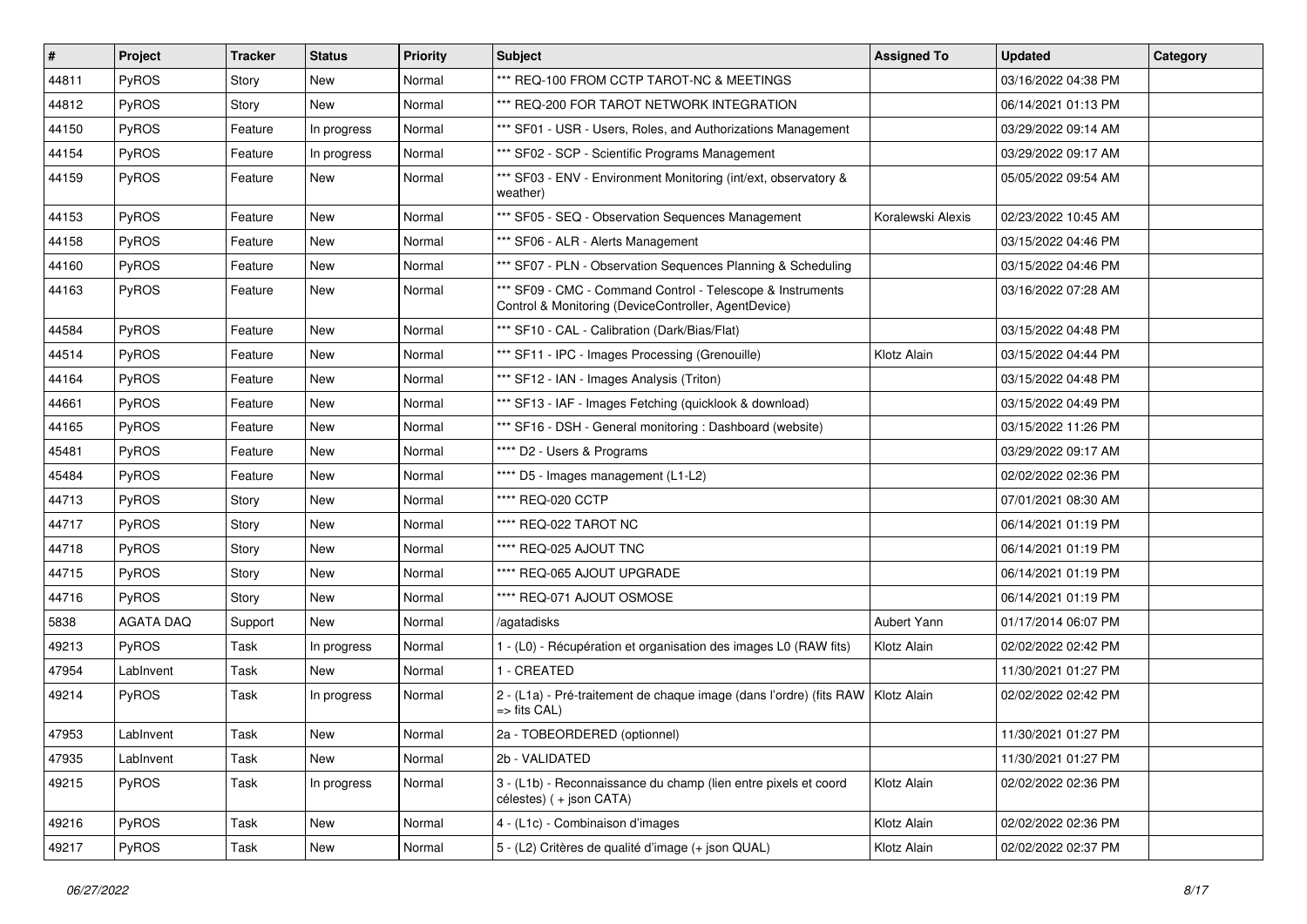| #     | Project          | <b>Tracker</b> | <b>Status</b> | <b>Priority</b> | <b>Subject</b>                                                                                                     | <b>Assigned To</b> | <b>Updated</b>      | Category |
|-------|------------------|----------------|---------------|-----------------|--------------------------------------------------------------------------------------------------------------------|--------------------|---------------------|----------|
| 44811 | PyROS            | Story          | <b>New</b>    | Normal          | *** REQ-100 FROM CCTP TAROT-NC & MEETINGS                                                                          |                    | 03/16/2022 04:38 PM |          |
| 44812 | PyROS            | Story          | <b>New</b>    | Normal          | *** REQ-200 FOR TAROT NETWORK INTEGRATION                                                                          |                    | 06/14/2021 01:13 PM |          |
| 44150 | PyROS            | Feature        | In progress   | Normal          | *** SF01 - USR - Users, Roles, and Authorizations Management                                                       |                    | 03/29/2022 09:14 AM |          |
| 44154 | PyROS            | Feature        | In progress   | Normal          | *** SF02 - SCP - Scientific Programs Management                                                                    |                    | 03/29/2022 09:17 AM |          |
| 44159 | PyROS            | Feature        | New           | Normal          | *** SF03 - ENV - Environment Monitoring (int/ext, observatory &<br>weather)                                        |                    | 05/05/2022 09:54 AM |          |
| 44153 | PyROS            | Feature        | New           | Normal          | *** SF05 - SEQ - Observation Sequences Management                                                                  | Koralewski Alexis  | 02/23/2022 10:45 AM |          |
| 44158 | <b>PyROS</b>     | Feature        | New           | Normal          | *** SF06 - ALR - Alerts Management                                                                                 |                    | 03/15/2022 04:46 PM |          |
| 44160 | PyROS            | Feature        | <b>New</b>    | Normal          | *** SF07 - PLN - Observation Sequences Planning & Scheduling                                                       |                    | 03/15/2022 04:46 PM |          |
| 44163 | PyROS            | Feature        | <b>New</b>    | Normal          | *** SF09 - CMC - Command Control - Telescope & Instruments<br>Control & Monitoring (DeviceController, AgentDevice) |                    | 03/16/2022 07:28 AM |          |
| 44584 | PyROS            | Feature        | <b>New</b>    | Normal          | *** SF10 - CAL - Calibration (Dark/Bias/Flat)                                                                      |                    | 03/15/2022 04:48 PM |          |
| 44514 | PyROS            | Feature        | New           | Normal          | *** SF11 - IPC - Images Processing (Grenouille)                                                                    | Klotz Alain        | 03/15/2022 04:44 PM |          |
| 44164 | PyROS            | Feature        | New           | Normal          | *** SF12 - IAN - Images Analysis (Triton)                                                                          |                    | 03/15/2022 04:48 PM |          |
| 44661 | PyROS            | Feature        | <b>New</b>    | Normal          | *** SF13 - IAF - Images Fetching (quicklook & download)                                                            |                    | 03/15/2022 04:49 PM |          |
| 44165 | PyROS            | Feature        | New           | Normal          | *** SF16 - DSH - General monitoring : Dashboard (website)                                                          |                    | 03/15/2022 11:26 PM |          |
| 45481 | PyROS            | Feature        | New           | Normal          | **** D2 - Users & Programs                                                                                         |                    | 03/29/2022 09:17 AM |          |
| 45484 | PyROS            | Feature        | <b>New</b>    | Normal          | **** D5 - Images management (L1-L2)                                                                                |                    | 02/02/2022 02:36 PM |          |
| 44713 | PyROS            | Story          | New           | Normal          | **** REQ-020 CCTP                                                                                                  |                    | 07/01/2021 08:30 AM |          |
| 44717 | PyROS            | Story          | <b>New</b>    | Normal          | **** REQ-022 TAROT NC                                                                                              |                    | 06/14/2021 01:19 PM |          |
| 44718 | <b>PyROS</b>     | Story          | New           | Normal          | **** REQ-025 AJOUT TNC                                                                                             |                    | 06/14/2021 01:19 PM |          |
| 44715 | PyROS            | Story          | <b>New</b>    | Normal          | **** REQ-065 AJOUT UPGRADE                                                                                         |                    | 06/14/2021 01:19 PM |          |
| 44716 | PyROS            | Story          | <b>New</b>    | Normal          | **** REQ-071 AJOUT OSMOSE                                                                                          |                    | 06/14/2021 01:19 PM |          |
| 5838  | <b>AGATA DAQ</b> | Support        | New           | Normal          | /agatadisks                                                                                                        | Aubert Yann        | 01/17/2014 06:07 PM |          |
| 49213 | PyROS            | Task           | In progress   | Normal          | 1 - (L0) - Récupération et organisation des images L0 (RAW fits)                                                   | Klotz Alain        | 02/02/2022 02:42 PM |          |
| 47954 | LabInvent        | Task           | New           | Normal          | 1 - CREATED                                                                                                        |                    | 11/30/2021 01:27 PM |          |
| 49214 | <b>PyROS</b>     | Task           | In progress   | Normal          | 2 - (L1a) - Pré-traitement de chaque image (dans l'ordre) (fits RAW   Klotz Alain<br>$\Rightarrow$ fits CAL)       |                    | 02/02/2022 02:42 PM |          |
| 47953 | LabInvent        | Task           | New           | Normal          | 2a - TOBEORDERED (optionnel)                                                                                       |                    | 11/30/2021 01:27 PM |          |
| 47935 | LabInvent        | Task           | New           | Normal          | 2b - VALIDATED                                                                                                     |                    | 11/30/2021 01:27 PM |          |
| 49215 | PyROS            | Task           | In progress   | Normal          | 3 - (L1b) - Reconnaissance du champ (lien entre pixels et coord<br>célestes) (+ json CATA)                         | Klotz Alain        | 02/02/2022 02:36 PM |          |
| 49216 | PyROS            | Task           | New           | Normal          | 4 - (L1c) - Combinaison d'images                                                                                   | Klotz Alain        | 02/02/2022 02:36 PM |          |
| 49217 | PyROS            | Task           | New           | Normal          | 5 - (L2) Critères de qualité d'image (+ json QUAL)                                                                 | Klotz Alain        | 02/02/2022 02:37 PM |          |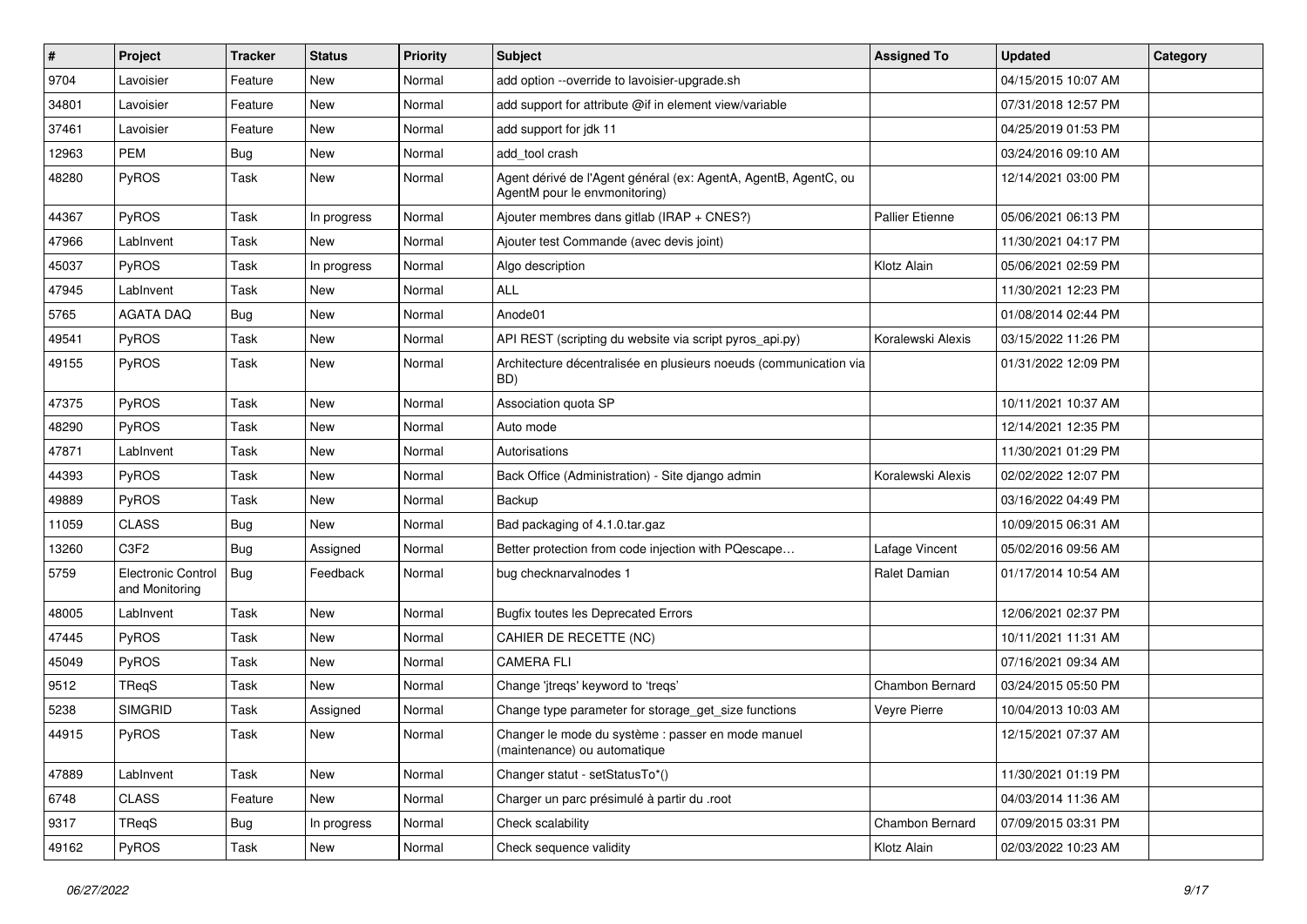| #     | Project                                     | Tracker    | <b>Status</b> | <b>Priority</b> | <b>Subject</b>                                                                                   | <b>Assigned To</b>     | <b>Updated</b>      | Category |
|-------|---------------------------------------------|------------|---------------|-----------------|--------------------------------------------------------------------------------------------------|------------------------|---------------------|----------|
| 9704  | Lavoisier                                   | Feature    | <b>New</b>    | Normal          | add option --override to lavoisier-upgrade.sh                                                    |                        | 04/15/2015 10:07 AM |          |
| 34801 | Lavoisier                                   | Feature    | <b>New</b>    | Normal          | add support for attribute @if in element view/variable                                           |                        | 07/31/2018 12:57 PM |          |
| 37461 | Lavoisier                                   | Feature    | <b>New</b>    | Normal          | add support for jdk 11                                                                           |                        | 04/25/2019 01:53 PM |          |
| 12963 | <b>PEM</b>                                  | <b>Bug</b> | <b>New</b>    | Normal          | add tool crash                                                                                   |                        | 03/24/2016 09:10 AM |          |
| 48280 | PyROS                                       | Task       | <b>New</b>    | Normal          | Agent dérivé de l'Agent général (ex: AgentA, AgentB, AgentC, ou<br>AgentM pour le envmonitoring) |                        | 12/14/2021 03:00 PM |          |
| 44367 | PyROS                                       | Task       | In progress   | Normal          | Ajouter membres dans gitlab (IRAP + CNES?)                                                       | <b>Pallier Etienne</b> | 05/06/2021 06:13 PM |          |
| 47966 | LabInvent                                   | Task       | <b>New</b>    | Normal          | Ajouter test Commande (avec devis joint)                                                         |                        | 11/30/2021 04:17 PM |          |
| 45037 | PyROS                                       | Task       | In progress   | Normal          | Algo description                                                                                 | Klotz Alain            | 05/06/2021 02:59 PM |          |
| 47945 | LabInvent                                   | Task       | <b>New</b>    | Normal          | <b>ALL</b>                                                                                       |                        | 11/30/2021 12:23 PM |          |
| 5765  | AGATA DAQ                                   | <b>Bug</b> | New           | Normal          | Anode01                                                                                          |                        | 01/08/2014 02:44 PM |          |
| 49541 | PyROS                                       | Task       | <b>New</b>    | Normal          | API REST (scripting du website via script pyros_api.py)                                          | Koralewski Alexis      | 03/15/2022 11:26 PM |          |
| 49155 | PyROS                                       | Task       | New           | Normal          | Architecture décentralisée en plusieurs noeuds (communication via<br>BD)                         |                        | 01/31/2022 12:09 PM |          |
| 47375 | PyROS                                       | Task       | New           | Normal          | Association quota SP                                                                             |                        | 10/11/2021 10:37 AM |          |
| 48290 | PyROS                                       | Task       | New           | Normal          | Auto mode                                                                                        |                        | 12/14/2021 12:35 PM |          |
| 47871 | LabInvent                                   | Task       | New           | Normal          | Autorisations                                                                                    |                        | 11/30/2021 01:29 PM |          |
| 44393 | PyROS                                       | Task       | New           | Normal          | Back Office (Administration) - Site django admin                                                 | Koralewski Alexis      | 02/02/2022 12:07 PM |          |
| 49889 | PyROS                                       | Task       | New           | Normal          | Backup                                                                                           |                        | 03/16/2022 04:49 PM |          |
| 11059 | <b>CLASS</b>                                | <b>Bug</b> | <b>New</b>    | Normal          | Bad packaging of 4.1.0.tar.gaz                                                                   |                        | 10/09/2015 06:31 AM |          |
| 13260 | C3F2                                        | Bug        | Assigned      | Normal          | Better protection from code injection with PQescape                                              | Lafage Vincent         | 05/02/2016 09:56 AM |          |
| 5759  | <b>Electronic Control</b><br>and Monitoring | <b>Bug</b> | Feedback      | Normal          | bug checknarvalnodes 1                                                                           | Ralet Damian           | 01/17/2014 10:54 AM |          |
| 48005 | LabInvent                                   | Task       | <b>New</b>    | Normal          | <b>Bugfix toutes les Deprecated Errors</b>                                                       |                        | 12/06/2021 02:37 PM |          |
| 47445 | PyROS                                       | Task       | New           | Normal          | CAHIER DE RECETTE (NC)                                                                           |                        | 10/11/2021 11:31 AM |          |
| 45049 | PyROS                                       | Task       | New           | Normal          | <b>CAMERA FLI</b>                                                                                |                        | 07/16/2021 09:34 AM |          |
| 9512  | TReqS                                       | Task       | New           | Normal          | Change 'jtreqs' keyword to 'treqs'                                                               | Chambon Bernard        | 03/24/2015 05:50 PM |          |
| 5238  | <b>SIMGRID</b>                              | Task       | Assigned      | Normal          | Change type parameter for storage_get_size functions                                             | Veyre Pierre           | 10/04/2013 10:03 AM |          |
| 44915 | PyROS                                       | Task       | New           | Normal          | Changer le mode du système : passer en mode manuel<br>(maintenance) ou automatique               |                        | 12/15/2021 07:37 AM |          |
| 47889 | LabInvent                                   | Task       | New           | Normal          | Changer statut - setStatusTo*()                                                                  |                        | 11/30/2021 01:19 PM |          |
| 6748  | <b>CLASS</b>                                | Feature    | New           | Normal          | Charger un parc présimulé à partir du .root                                                      |                        | 04/03/2014 11:36 AM |          |
| 9317  | TReqS                                       | <b>Bug</b> | In progress   | Normal          | Check scalability                                                                                | Chambon Bernard        | 07/09/2015 03:31 PM |          |
| 49162 | PyROS                                       | Task       | New           | Normal          | Check sequence validity                                                                          | Klotz Alain            | 02/03/2022 10:23 AM |          |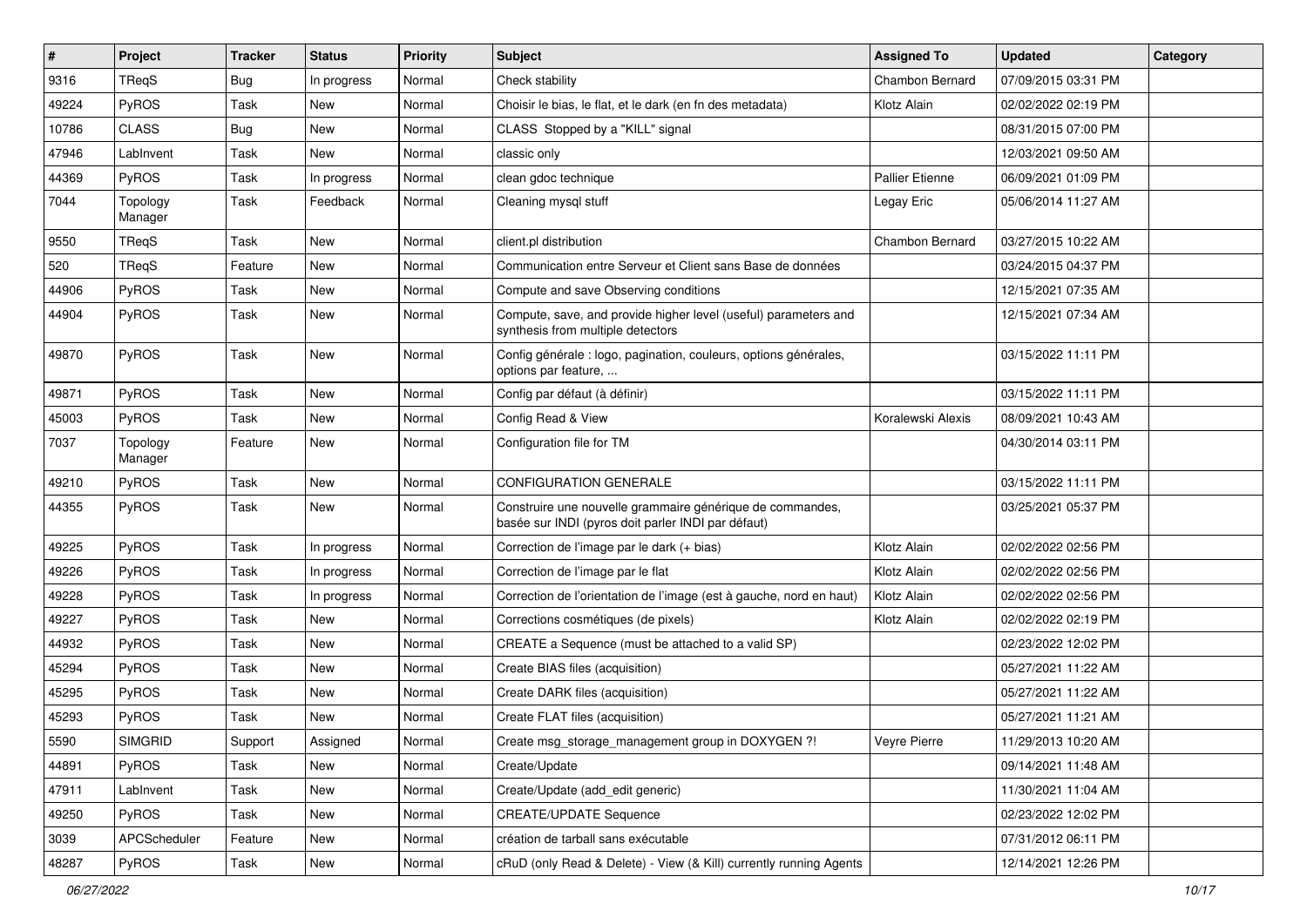| $\#$  | Project             | <b>Tracker</b> | <b>Status</b> | <b>Priority</b> | <b>Subject</b>                                                                                                  | <b>Assigned To</b>     | <b>Updated</b>      | Category |
|-------|---------------------|----------------|---------------|-----------------|-----------------------------------------------------------------------------------------------------------------|------------------------|---------------------|----------|
| 9316  | TReqS               | <b>Bug</b>     | In progress   | Normal          | Check stability                                                                                                 | Chambon Bernard        | 07/09/2015 03:31 PM |          |
| 49224 | PyROS               | Task           | <b>New</b>    | Normal          | Choisir le bias, le flat, et le dark (en fn des metadata)                                                       | Klotz Alain            | 02/02/2022 02:19 PM |          |
| 10786 | <b>CLASS</b>        | <b>Bug</b>     | <b>New</b>    | Normal          | CLASS Stopped by a "KILL" signal                                                                                |                        | 08/31/2015 07:00 PM |          |
| 47946 | LabInvent           | Task           | New           | Normal          | classic only                                                                                                    |                        | 12/03/2021 09:50 AM |          |
| 44369 | PyROS               | Task           | In progress   | Normal          | clean gdoc technique                                                                                            | <b>Pallier Etienne</b> | 06/09/2021 01:09 PM |          |
| 7044  | Topology<br>Manager | Task           | Feedback      | Normal          | Cleaning mysql stuff                                                                                            | Legay Eric             | 05/06/2014 11:27 AM |          |
| 9550  | TReqS               | Task           | New           | Normal          | client.pl distribution                                                                                          | Chambon Bernard        | 03/27/2015 10:22 AM |          |
| 520   | TReqS               | Feature        | <b>New</b>    | Normal          | Communication entre Serveur et Client sans Base de données                                                      |                        | 03/24/2015 04:37 PM |          |
| 44906 | PyROS               | Task           | <b>New</b>    | Normal          | Compute and save Observing conditions                                                                           |                        | 12/15/2021 07:35 AM |          |
| 44904 | <b>PyROS</b>        | Task           | <b>New</b>    | Normal          | Compute, save, and provide higher level (useful) parameters and<br>synthesis from multiple detectors            |                        | 12/15/2021 07:34 AM |          |
| 49870 | <b>PyROS</b>        | Task           | <b>New</b>    | Normal          | Config générale : logo, pagination, couleurs, options générales,<br>options par feature,                        |                        | 03/15/2022 11:11 PM |          |
| 49871 | <b>PyROS</b>        | Task           | <b>New</b>    | Normal          | Config par défaut (à définir)                                                                                   |                        | 03/15/2022 11:11 PM |          |
| 45003 | PyROS               | Task           | New           | Normal          | Config Read & View                                                                                              | Koralewski Alexis      | 08/09/2021 10:43 AM |          |
| 7037  | Topology<br>Manager | Feature        | New           | Normal          | Configuration file for TM                                                                                       |                        | 04/30/2014 03:11 PM |          |
| 49210 | PyROS               | Task           | <b>New</b>    | Normal          | <b>CONFIGURATION GENERALE</b>                                                                                   |                        | 03/15/2022 11:11 PM |          |
| 44355 | PyROS               | Task           | New           | Normal          | Construire une nouvelle grammaire générique de commandes,<br>basée sur INDI (pyros doit parler INDI par défaut) |                        | 03/25/2021 05:37 PM |          |
| 49225 | <b>PyROS</b>        | Task           | In progress   | Normal          | Correction de l'image par le dark (+ bias)                                                                      | Klotz Alain            | 02/02/2022 02:56 PM |          |
| 49226 | <b>PyROS</b>        | Task           | In progress   | Normal          | Correction de l'image par le flat                                                                               | Klotz Alain            | 02/02/2022 02:56 PM |          |
| 49228 | PyROS               | Task           | In progress   | Normal          | Correction de l'orientation de l'image (est à gauche, nord en haut)                                             | Klotz Alain            | 02/02/2022 02:56 PM |          |
| 49227 | <b>PyROS</b>        | Task           | <b>New</b>    | Normal          | Corrections cosmétiques (de pixels)                                                                             | Klotz Alain            | 02/02/2022 02:19 PM |          |
| 44932 | PyROS               | Task           | <b>New</b>    | Normal          | CREATE a Sequence (must be attached to a valid SP)                                                              |                        | 02/23/2022 12:02 PM |          |
| 45294 | <b>PyROS</b>        | Task           | <b>New</b>    | Normal          | Create BIAS files (acquisition)                                                                                 |                        | 05/27/2021 11:22 AM |          |
| 45295 | PyROS               | Task           | New           | Normal          | Create DARK files (acquisition)                                                                                 |                        | 05/27/2021 11:22 AM |          |
| 45293 | PyROS               | Task           | New           | Normal          | Create FLAT files (acquisition)                                                                                 |                        | 05/27/2021 11:21 AM |          |
| 5590  | <b>SIMGRID</b>      | Support        | Assigned      | Normal          | Create msg_storage_management group in DOXYGEN ?!                                                               | Veyre Pierre           | 11/29/2013 10:20 AM |          |
| 44891 | PyROS               | Task           | New           | Normal          | Create/Update                                                                                                   |                        | 09/14/2021 11:48 AM |          |
| 47911 | LabInvent           | Task           | New           | Normal          | Create/Update (add edit generic)                                                                                |                        | 11/30/2021 11:04 AM |          |
| 49250 | PyROS               | Task           | New           | Normal          | <b>CREATE/UPDATE Sequence</b>                                                                                   |                        | 02/23/2022 12:02 PM |          |
| 3039  | APCScheduler        | Feature        | New           | Normal          | création de tarball sans exécutable                                                                             |                        | 07/31/2012 06:11 PM |          |
| 48287 | PyROS               | Task           | New           | Normal          | cRuD (only Read & Delete) - View (& Kill) currently running Agents                                              |                        | 12/14/2021 12:26 PM |          |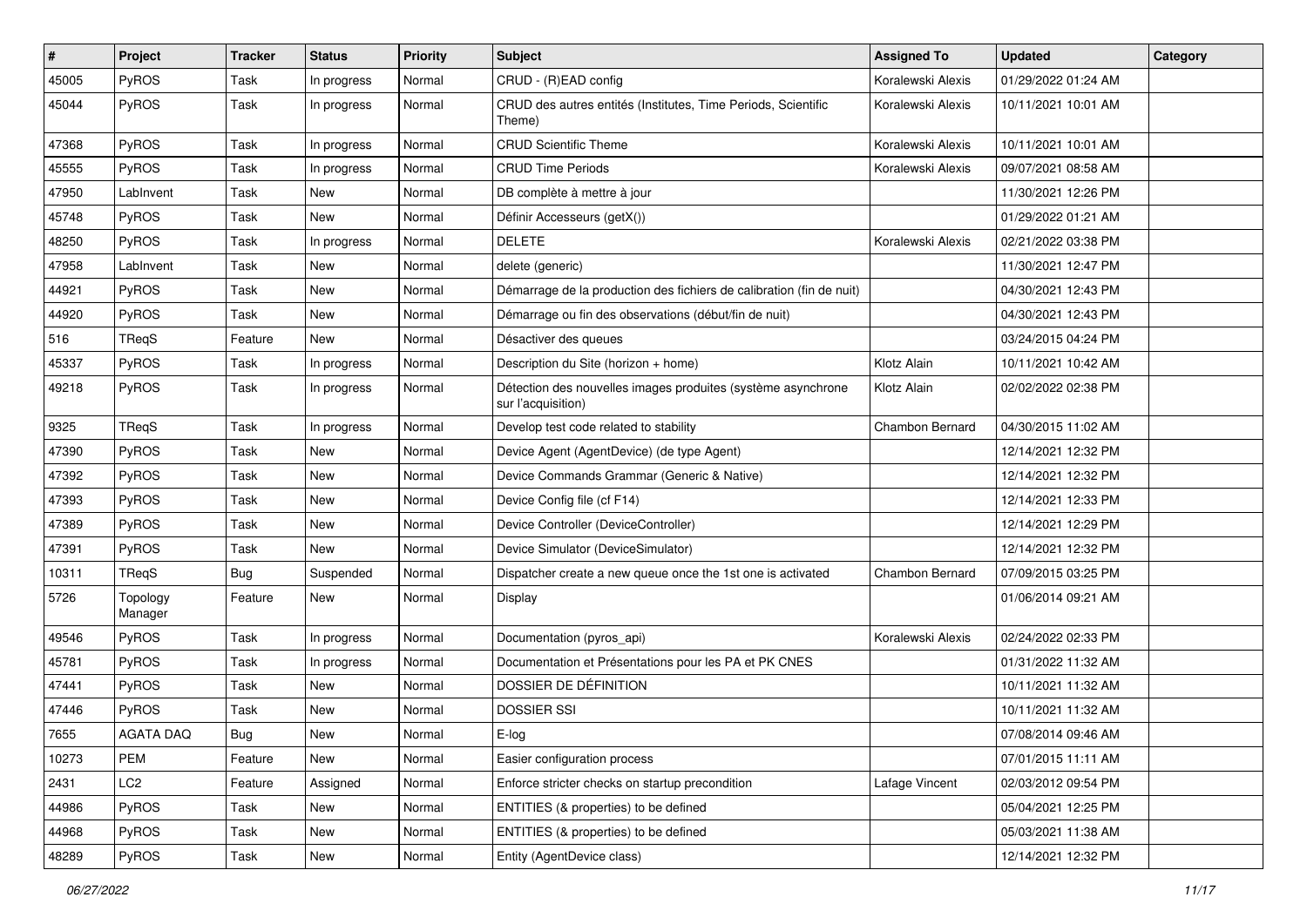| $\sharp$ | Project             | Tracker | <b>Status</b> | <b>Priority</b> | Subject                                                                            | <b>Assigned To</b> | <b>Updated</b>      | Category |
|----------|---------------------|---------|---------------|-----------------|------------------------------------------------------------------------------------|--------------------|---------------------|----------|
| 45005    | PyROS               | Task    | In progress   | Normal          | CRUD - (R)EAD config                                                               | Koralewski Alexis  | 01/29/2022 01:24 AM |          |
| 45044    | PyROS               | Task    | In progress   | Normal          | CRUD des autres entités (Institutes, Time Periods, Scientific<br>Theme)            | Koralewski Alexis  | 10/11/2021 10:01 AM |          |
| 47368    | PyROS               | Task    | In progress   | Normal          | <b>CRUD Scientific Theme</b>                                                       | Koralewski Alexis  | 10/11/2021 10:01 AM |          |
| 45555    | PyROS               | Task    | In progress   | Normal          | <b>CRUD Time Periods</b>                                                           | Koralewski Alexis  | 09/07/2021 08:58 AM |          |
| 47950    | LabInvent           | Task    | New           | Normal          | DB complète à mettre à jour                                                        |                    | 11/30/2021 12:26 PM |          |
| 45748    | PyROS               | Task    | <b>New</b>    | Normal          | Définir Accesseurs (getX())                                                        |                    | 01/29/2022 01:21 AM |          |
| 48250    | PyROS               | Task    | In progress   | Normal          | <b>DELETE</b>                                                                      | Koralewski Alexis  | 02/21/2022 03:38 PM |          |
| 47958    | LabInvent           | Task    | <b>New</b>    | Normal          | delete (generic)                                                                   |                    | 11/30/2021 12:47 PM |          |
| 44921    | PyROS               | Task    | <b>New</b>    | Normal          | Démarrage de la production des fichiers de calibration (fin de nuit)               |                    | 04/30/2021 12:43 PM |          |
| 44920    | PyROS               | Task    | <b>New</b>    | Normal          | Démarrage ou fin des observations (début/fin de nuit)                              |                    | 04/30/2021 12:43 PM |          |
| 516      | TReqS               | Feature | <b>New</b>    | Normal          | Désactiver des queues                                                              |                    | 03/24/2015 04:24 PM |          |
| 45337    | PyROS               | Task    | In progress   | Normal          | Description du Site (horizon + home)                                               | Klotz Alain        | 10/11/2021 10:42 AM |          |
| 49218    | PyROS               | Task    | In progress   | Normal          | Détection des nouvelles images produites (système asynchrone<br>sur l'acquisition) | Klotz Alain        | 02/02/2022 02:38 PM |          |
| 9325     | TReqS               | Task    | In progress   | Normal          | Develop test code related to stability                                             | Chambon Bernard    | 04/30/2015 11:02 AM |          |
| 47390    | PyROS               | Task    | <b>New</b>    | Normal          | Device Agent (AgentDevice) (de type Agent)                                         |                    | 12/14/2021 12:32 PM |          |
| 47392    | PyROS               | Task    | <b>New</b>    | Normal          | Device Commands Grammar (Generic & Native)                                         |                    | 12/14/2021 12:32 PM |          |
| 47393    | <b>PyROS</b>        | Task    | <b>New</b>    | Normal          | Device Config file (cf F14)                                                        |                    | 12/14/2021 12:33 PM |          |
| 47389    | PyROS               | Task    | <b>New</b>    | Normal          | Device Controller (DeviceController)                                               |                    | 12/14/2021 12:29 PM |          |
| 47391    | PyROS               | Task    | New           | Normal          | Device Simulator (DeviceSimulator)                                                 |                    | 12/14/2021 12:32 PM |          |
| 10311    | TReqS               | Bug     | Suspended     | Normal          | Dispatcher create a new queue once the 1st one is activated                        | Chambon Bernard    | 07/09/2015 03:25 PM |          |
| 5726     | Topology<br>Manager | Feature | New           | Normal          | Display                                                                            |                    | 01/06/2014 09:21 AM |          |
| 49546    | PyROS               | Task    | In progress   | Normal          | Documentation (pyros_api)                                                          | Koralewski Alexis  | 02/24/2022 02:33 PM |          |
| 45781    | PyROS               | Task    | In progress   | Normal          | Documentation et Présentations pour les PA et PK CNES                              |                    | 01/31/2022 11:32 AM |          |
| 47441    | PyROS               | Task    | <b>New</b>    | Normal          | DOSSIER DE DÉFINITION                                                              |                    | 10/11/2021 11:32 AM |          |
| 47446    | PyROS               | Task    | <b>New</b>    | Normal          | <b>DOSSIER SSI</b>                                                                 |                    | 10/11/2021 11:32 AM |          |
| 7655     | AGATA DAQ           | Bug     | New           | Normal          | E-log                                                                              |                    | 07/08/2014 09:46 AM |          |
| 10273    | PEM                 | Feature | New           | Normal          | Easier configuration process                                                       |                    | 07/01/2015 11:11 AM |          |
| 2431     | LC <sub>2</sub>     | Feature | Assigned      | Normal          | Enforce stricter checks on startup precondition                                    | Lafage Vincent     | 02/03/2012 09:54 PM |          |
| 44986    | PyROS               | Task    | New           | Normal          | ENTITIES (& properties) to be defined                                              |                    | 05/04/2021 12:25 PM |          |
| 44968    | PyROS               | Task    | New           | Normal          | ENTITIES (& properties) to be defined                                              |                    | 05/03/2021 11:38 AM |          |
| 48289    | PyROS               | Task    | New           | Normal          | Entity (AgentDevice class)                                                         |                    | 12/14/2021 12:32 PM |          |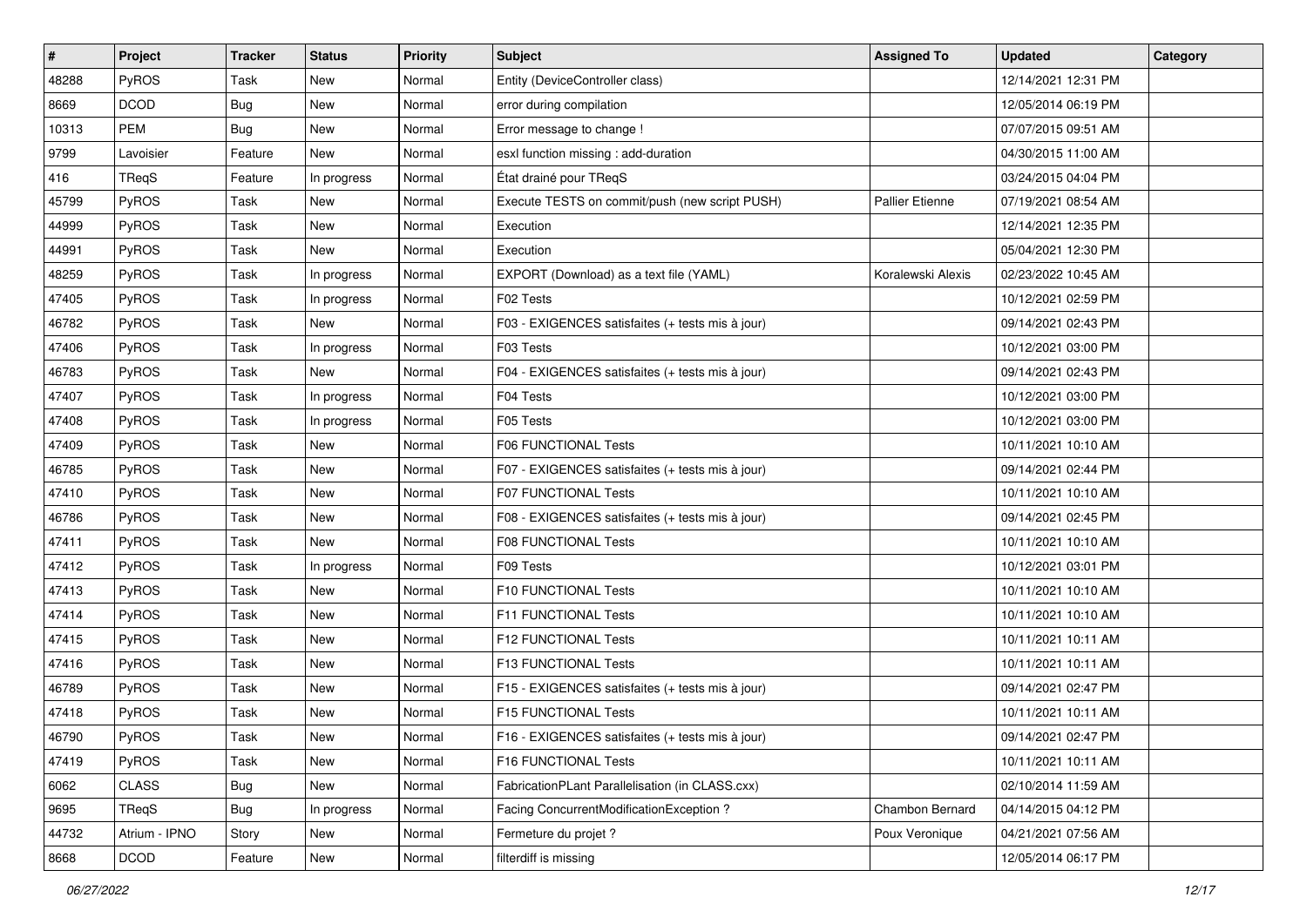| $\sharp$ | Project       | Tracker    | <b>Status</b> | <b>Priority</b> | <b>Subject</b>                                   | <b>Assigned To</b>     | <b>Updated</b>      | <b>Category</b> |
|----------|---------------|------------|---------------|-----------------|--------------------------------------------------|------------------------|---------------------|-----------------|
| 48288    | PyROS         | Task       | <b>New</b>    | Normal          | Entity (DeviceController class)                  |                        | 12/14/2021 12:31 PM |                 |
| 8669     | <b>DCOD</b>   | Bug        | <b>New</b>    | Normal          | error during compilation                         |                        | 12/05/2014 06:19 PM |                 |
| 10313    | <b>PEM</b>    | <b>Bug</b> | New           | Normal          | Error message to change !                        |                        | 07/07/2015 09:51 AM |                 |
| 9799     | Lavoisier     | Feature    | New           | Normal          | esxl function missing : add-duration             |                        | 04/30/2015 11:00 AM |                 |
| 416      | TReqS         | Feature    | In progress   | Normal          | État drainé pour TReqS                           |                        | 03/24/2015 04:04 PM |                 |
| 45799    | PyROS         | Task       | <b>New</b>    | Normal          | Execute TESTS on commit/push (new script PUSH)   | <b>Pallier Etienne</b> | 07/19/2021 08:54 AM |                 |
| 44999    | PyROS         | Task       | <b>New</b>    | Normal          | Execution                                        |                        | 12/14/2021 12:35 PM |                 |
| 44991    | PyROS         | Task       | New           | Normal          | Execution                                        |                        | 05/04/2021 12:30 PM |                 |
| 48259    | PyROS         | Task       | In progress   | Normal          | EXPORT (Download) as a text file (YAML)          | Koralewski Alexis      | 02/23/2022 10:45 AM |                 |
| 47405    | PyROS         | Task       | In progress   | Normal          | F02 Tests                                        |                        | 10/12/2021 02:59 PM |                 |
| 46782    | <b>PyROS</b>  | Task       | New           | Normal          | F03 - EXIGENCES satisfaites (+ tests mis à jour) |                        | 09/14/2021 02:43 PM |                 |
| 47406    | PyROS         | Task       | In progress   | Normal          | F03 Tests                                        |                        | 10/12/2021 03:00 PM |                 |
| 46783    | PyROS         | Task       | New           | Normal          | F04 - EXIGENCES satisfaites (+ tests mis à jour) |                        | 09/14/2021 02:43 PM |                 |
| 47407    | PyROS         | Task       | In progress   | Normal          | F04 Tests                                        |                        | 10/12/2021 03:00 PM |                 |
| 47408    | PyROS         | Task       | In progress   | Normal          | F05 Tests                                        |                        | 10/12/2021 03:00 PM |                 |
| 47409    | PyROS         | Task       | New           | Normal          | <b>F06 FUNCTIONAL Tests</b>                      |                        | 10/11/2021 10:10 AM |                 |
| 46785    | PyROS         | Task       | <b>New</b>    | Normal          | F07 - EXIGENCES satisfaites (+ tests mis à jour) |                        | 09/14/2021 02:44 PM |                 |
| 47410    | PyROS         | Task       | <b>New</b>    | Normal          | F07 FUNCTIONAL Tests                             |                        | 10/11/2021 10:10 AM |                 |
| 46786    | PyROS         | Task       | <b>New</b>    | Normal          | F08 - EXIGENCES satisfaites (+ tests mis à jour) |                        | 09/14/2021 02:45 PM |                 |
| 47411    | PyROS         | Task       | New           | Normal          | <b>F08 FUNCTIONAL Tests</b>                      |                        | 10/11/2021 10:10 AM |                 |
| 47412    | PyROS         | Task       | In progress   | Normal          | F09 Tests                                        |                        | 10/12/2021 03:01 PM |                 |
| 47413    | PyROS         | Task       | <b>New</b>    | Normal          | F10 FUNCTIONAL Tests                             |                        | 10/11/2021 10:10 AM |                 |
| 47414    | PyROS         | Task       | <b>New</b>    | Normal          | F11 FUNCTIONAL Tests                             |                        | 10/11/2021 10:10 AM |                 |
| 47415    | PyROS         | Task       | <b>New</b>    | Normal          | F12 FUNCTIONAL Tests                             |                        | 10/11/2021 10:11 AM |                 |
| 47416    | PyROS         | Task       | <b>New</b>    | Normal          | F13 FUNCTIONAL Tests                             |                        | 10/11/2021 10:11 AM |                 |
| 46789    | PyROS         | Task       | New           | Normal          | F15 - EXIGENCES satisfaites (+ tests mis à jour) |                        | 09/14/2021 02:47 PM |                 |
| 47418    | PyROS         | Task       | <b>New</b>    | Normal          | <b>F15 FUNCTIONAL Tests</b>                      |                        | 10/11/2021 10:11 AM |                 |
| 46790    | PyROS         | Task       | New           | Normal          | F16 - EXIGENCES satisfaites (+ tests mis à jour) |                        | 09/14/2021 02:47 PM |                 |
| 47419    | PyROS         | Task       | New           | Normal          | F16 FUNCTIONAL Tests                             |                        | 10/11/2021 10:11 AM |                 |
| 6062     | <b>CLASS</b>  | <b>Bug</b> | New           | Normal          | FabricationPLant Parallelisation (in CLASS.cxx)  |                        | 02/10/2014 11:59 AM |                 |
| 9695     | TReqS         | Bug        | In progress   | Normal          | Facing ConcurrentModificationException ?         | Chambon Bernard        | 04/14/2015 04:12 PM |                 |
| 44732    | Atrium - IPNO | Story      | New           | Normal          | Fermeture du projet ?                            | Poux Veronique         | 04/21/2021 07:56 AM |                 |
| 8668     | <b>DCOD</b>   | Feature    | New           | Normal          | filterdiff is missing                            |                        | 12/05/2014 06:17 PM |                 |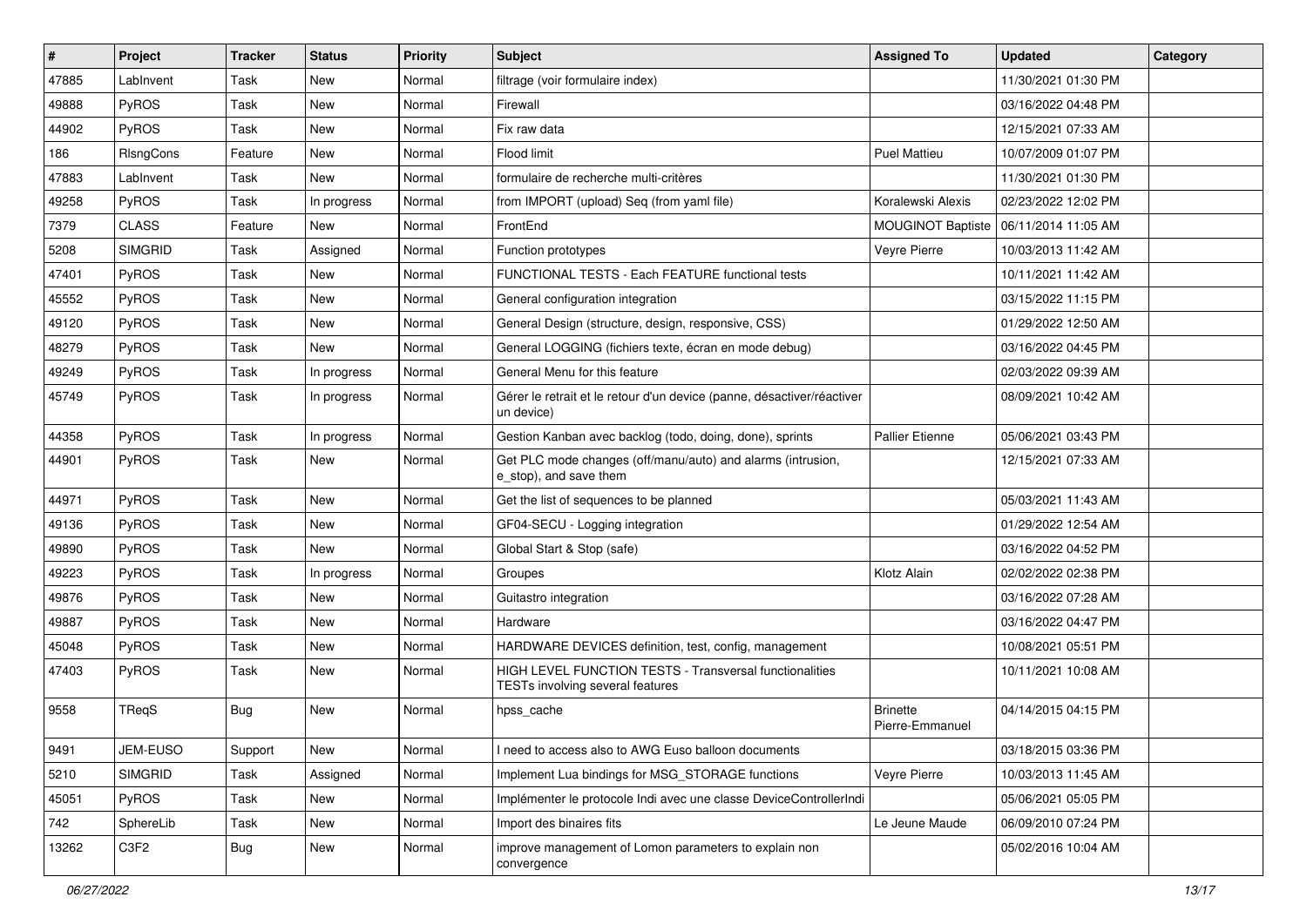| $\#$  | <b>Project</b> | Tracker    | <b>Status</b> | <b>Priority</b> | <b>Subject</b>                                                                                     | <b>Assigned To</b>                 | <b>Updated</b>      | Category |
|-------|----------------|------------|---------------|-----------------|----------------------------------------------------------------------------------------------------|------------------------------------|---------------------|----------|
| 47885 | LabInvent      | Task       | <b>New</b>    | Normal          | filtrage (voir formulaire index)                                                                   |                                    | 11/30/2021 01:30 PM |          |
| 49888 | PyROS          | Task       | <b>New</b>    | Normal          | Firewall                                                                                           |                                    | 03/16/2022 04:48 PM |          |
| 44902 | <b>PyROS</b>   | Task       | <b>New</b>    | Normal          | Fix raw data                                                                                       |                                    | 12/15/2021 07:33 AM |          |
| 186   | RIsngCons      | Feature    | <b>New</b>    | Normal          | Flood limit                                                                                        | <b>Puel Mattieu</b>                | 10/07/2009 01:07 PM |          |
| 47883 | LabInvent      | Task       | <b>New</b>    | Normal          | formulaire de recherche multi-critères                                                             |                                    | 11/30/2021 01:30 PM |          |
| 49258 | PyROS          | Task       | In progress   | Normal          | from IMPORT (upload) Seq (from yaml file)                                                          | Koralewski Alexis                  | 02/23/2022 12:02 PM |          |
| 7379  | <b>CLASS</b>   | Feature    | <b>New</b>    | Normal          | FrontEnd                                                                                           | MOUGINOT Baptiste                  | 06/11/2014 11:05 AM |          |
| 5208  | <b>SIMGRID</b> | Task       | Assigned      | Normal          | Function prototypes                                                                                | Veyre Pierre                       | 10/03/2013 11:42 AM |          |
| 47401 | PyROS          | Task       | <b>New</b>    | Normal          | FUNCTIONAL TESTS - Each FEATURE functional tests                                                   |                                    | 10/11/2021 11:42 AM |          |
| 45552 | PyROS          | Task       | <b>New</b>    | Normal          | General configuration integration                                                                  |                                    | 03/15/2022 11:15 PM |          |
| 49120 | PyROS          | Task       | <b>New</b>    | Normal          | General Design (structure, design, responsive, CSS)                                                |                                    | 01/29/2022 12:50 AM |          |
| 48279 | PyROS          | Task       | <b>New</b>    | Normal          | General LOGGING (fichiers texte, écran en mode debug)                                              |                                    | 03/16/2022 04:45 PM |          |
| 49249 | PyROS          | Task       | In progress   | Normal          | General Menu for this feature                                                                      |                                    | 02/03/2022 09:39 AM |          |
| 45749 | PyROS          | Task       | In progress   | Normal          | Gérer le retrait et le retour d'un device (panne, désactiver/réactiver<br>un device)               |                                    | 08/09/2021 10:42 AM |          |
| 44358 | PyROS          | Task       | In progress   | Normal          | Gestion Kanban avec backlog (todo, doing, done), sprints                                           | <b>Pallier Etienne</b>             | 05/06/2021 03:43 PM |          |
| 44901 | PyROS          | Task       | <b>New</b>    | Normal          | Get PLC mode changes (off/manu/auto) and alarms (intrusion,<br>e_stop), and save them              |                                    | 12/15/2021 07:33 AM |          |
| 44971 | PyROS          | Task       | <b>New</b>    | Normal          | Get the list of sequences to be planned                                                            |                                    | 05/03/2021 11:43 AM |          |
| 49136 | PyROS          | Task       | <b>New</b>    | Normal          | GF04-SECU - Logging integration                                                                    |                                    | 01/29/2022 12:54 AM |          |
| 49890 | PyROS          | Task       | New           | Normal          | Global Start & Stop (safe)                                                                         |                                    | 03/16/2022 04:52 PM |          |
| 49223 | PyROS          | Task       | In progress   | Normal          | Groupes                                                                                            | Klotz Alain                        | 02/02/2022 02:38 PM |          |
| 49876 | PyROS          | Task       | <b>New</b>    | Normal          | Guitastro integration                                                                              |                                    | 03/16/2022 07:28 AM |          |
| 49887 | PyROS          | Task       | <b>New</b>    | Normal          | Hardware                                                                                           |                                    | 03/16/2022 04:47 PM |          |
| 45048 | PyROS          | Task       | <b>New</b>    | Normal          | HARDWARE DEVICES definition, test, config, management                                              |                                    | 10/08/2021 05:51 PM |          |
| 47403 | PyROS          | Task       | <b>New</b>    | Normal          | <b>HIGH LEVEL FUNCTION TESTS - Transversal functionalities</b><br>TESTs involving several features |                                    | 10/11/2021 10:08 AM |          |
| 9558  | TReqS          | Bug        | <b>New</b>    | Normal          | hpss_cache                                                                                         | <b>Brinette</b><br>Pierre-Emmanuel | 04/14/2015 04:15 PM |          |
| 9491  | JEM-EUSO       | Support    | New           | Normal          | I need to access also to AWG Euso balloon documents                                                |                                    | 03/18/2015 03:36 PM |          |
| 5210  | <b>SIMGRID</b> | Task       | Assigned      | Normal          | Implement Lua bindings for MSG_STORAGE functions                                                   | Veyre Pierre                       | 10/03/2013 11:45 AM |          |
| 45051 | PyROS          | Task       | New           | Normal          | Implémenter le protocole Indi avec une classe DeviceControllerIndi                                 |                                    | 05/06/2021 05:05 PM |          |
| 742   | SphereLib      | Task       | New           | Normal          | Import des binaires fits                                                                           | Le Jeune Maude                     | 06/09/2010 07:24 PM |          |
| 13262 | C3F2           | <b>Bug</b> | New           | Normal          | improve management of Lomon parameters to explain non<br>convergence                               |                                    | 05/02/2016 10:04 AM |          |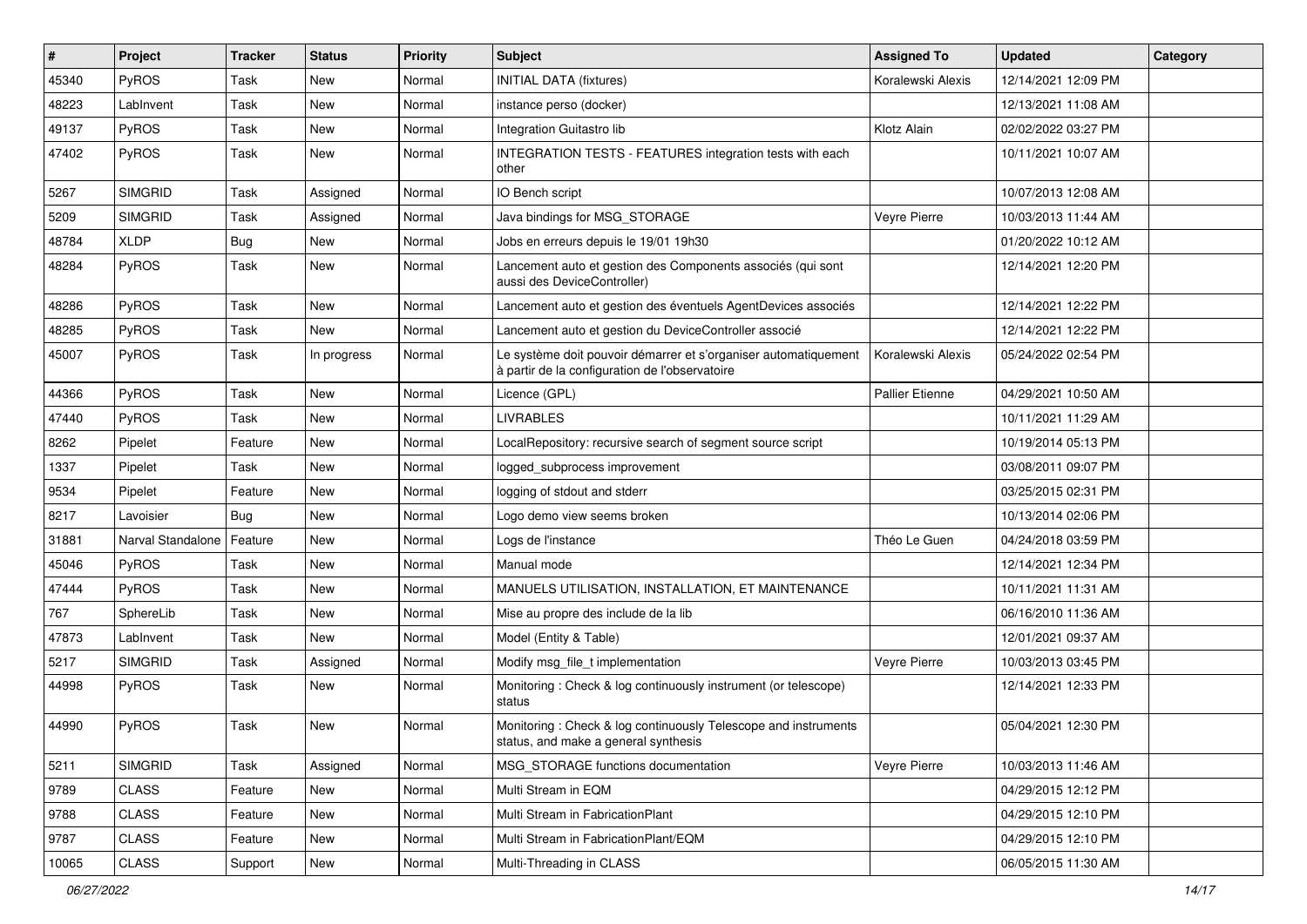| $\#$  | Project           | <b>Tracker</b> | <b>Status</b> | <b>Priority</b> | Subject                                                                                                           | <b>Assigned To</b>     | <b>Updated</b>      | Category |
|-------|-------------------|----------------|---------------|-----------------|-------------------------------------------------------------------------------------------------------------------|------------------------|---------------------|----------|
| 45340 | PyROS             | Task           | <b>New</b>    | Normal          | <b>INITIAL DATA (fixtures)</b>                                                                                    | Koralewski Alexis      | 12/14/2021 12:09 PM |          |
| 48223 | LabInvent         | Task           | <b>New</b>    | Normal          | instance perso (docker)                                                                                           |                        | 12/13/2021 11:08 AM |          |
| 49137 | PyROS             | Task           | New           | Normal          | Integration Guitastro lib                                                                                         | Klotz Alain            | 02/02/2022 03:27 PM |          |
| 47402 | PyROS             | Task           | New           | Normal          | <b>INTEGRATION TESTS - FEATURES integration tests with each</b><br>other                                          |                        | 10/11/2021 10:07 AM |          |
| 5267  | <b>SIMGRID</b>    | Task           | Assigned      | Normal          | IO Bench script                                                                                                   |                        | 10/07/2013 12:08 AM |          |
| 5209  | <b>SIMGRID</b>    | Task           | Assigned      | Normal          | Java bindings for MSG_STORAGE                                                                                     | Veyre Pierre           | 10/03/2013 11:44 AM |          |
| 48784 | <b>XLDP</b>       | <b>Bug</b>     | <b>New</b>    | Normal          | Jobs en erreurs depuis le 19/01 19h30                                                                             |                        | 01/20/2022 10:12 AM |          |
| 48284 | PyROS             | Task           | <b>New</b>    | Normal          | Lancement auto et gestion des Components associés (qui sont<br>aussi des DeviceController)                        |                        | 12/14/2021 12:20 PM |          |
| 48286 | PyROS             | Task           | New           | Normal          | Lancement auto et gestion des éventuels AgentDevices associés                                                     |                        | 12/14/2021 12:22 PM |          |
| 48285 | PyROS             | Task           | <b>New</b>    | Normal          | Lancement auto et gestion du DeviceController associé                                                             |                        | 12/14/2021 12:22 PM |          |
| 45007 | PyROS             | Task           | In progress   | Normal          | Le système doit pouvoir démarrer et s'organiser automatiquement<br>à partir de la configuration de l'observatoire | Koralewski Alexis      | 05/24/2022 02:54 PM |          |
| 44366 | PyROS             | Task           | <b>New</b>    | Normal          | Licence (GPL)                                                                                                     | <b>Pallier Etienne</b> | 04/29/2021 10:50 AM |          |
| 47440 | PyROS             | Task           | New           | Normal          | <b>LIVRABLES</b>                                                                                                  |                        | 10/11/2021 11:29 AM |          |
| 8262  | Pipelet           | Feature        | <b>New</b>    | Normal          | LocalRepository: recursive search of segment source script                                                        |                        | 10/19/2014 05:13 PM |          |
| 1337  | Pipelet           | Task           | <b>New</b>    | Normal          | logged_subprocess improvement                                                                                     |                        | 03/08/2011 09:07 PM |          |
| 9534  | Pipelet           | Feature        | New           | Normal          | logging of stdout and stderr                                                                                      |                        | 03/25/2015 02:31 PM |          |
| 8217  | Lavoisier         | <b>Bug</b>     | <b>New</b>    | Normal          | Logo demo view seems broken                                                                                       |                        | 10/13/2014 02:06 PM |          |
| 31881 | Narval Standalone | Feature        | <b>New</b>    | Normal          | Logs de l'instance                                                                                                | Théo Le Guen           | 04/24/2018 03:59 PM |          |
| 45046 | PyROS             | Task           | New           | Normal          | Manual mode                                                                                                       |                        | 12/14/2021 12:34 PM |          |
| 47444 | PyROS             | Task           | <b>New</b>    | Normal          | MANUELS UTILISATION, INSTALLATION, ET MAINTENANCE                                                                 |                        | 10/11/2021 11:31 AM |          |
| 767   | SphereLib         | Task           | New           | Normal          | Mise au propre des include de la lib                                                                              |                        | 06/16/2010 11:36 AM |          |
| 47873 | LabInvent         | Task           | New           | Normal          | Model (Entity & Table)                                                                                            |                        | 12/01/2021 09:37 AM |          |
| 5217  | <b>SIMGRID</b>    | Task           | Assigned      | Normal          | Modify msg_file_t implementation                                                                                  | Veyre Pierre           | 10/03/2013 03:45 PM |          |
| 44998 | PyROS             | Task           | New           | Normal          | Monitoring: Check & log continuously instrument (or telescope)<br>status                                          |                        | 12/14/2021 12:33 PM |          |
| 44990 | PyROS             | Task           | New           | Normal          | Monitoring: Check & log continuously Telescope and instruments<br>status, and make a general synthesis            |                        | 05/04/2021 12:30 PM |          |
| 5211  | <b>SIMGRID</b>    | Task           | Assigned      | Normal          | MSG_STORAGE functions documentation                                                                               | Veyre Pierre           | 10/03/2013 11:46 AM |          |
| 9789  | <b>CLASS</b>      | Feature        | New           | Normal          | Multi Stream in EQM                                                                                               |                        | 04/29/2015 12:12 PM |          |
| 9788  | <b>CLASS</b>      | Feature        | New           | Normal          | Multi Stream in FabricationPlant                                                                                  |                        | 04/29/2015 12:10 PM |          |
| 9787  | <b>CLASS</b>      | Feature        | New           | Normal          | Multi Stream in FabricationPlant/EQM                                                                              |                        | 04/29/2015 12:10 PM |          |
| 10065 | CLASS             | Support        | New           | Normal          | Multi-Threading in CLASS                                                                                          |                        | 06/05/2015 11:30 AM |          |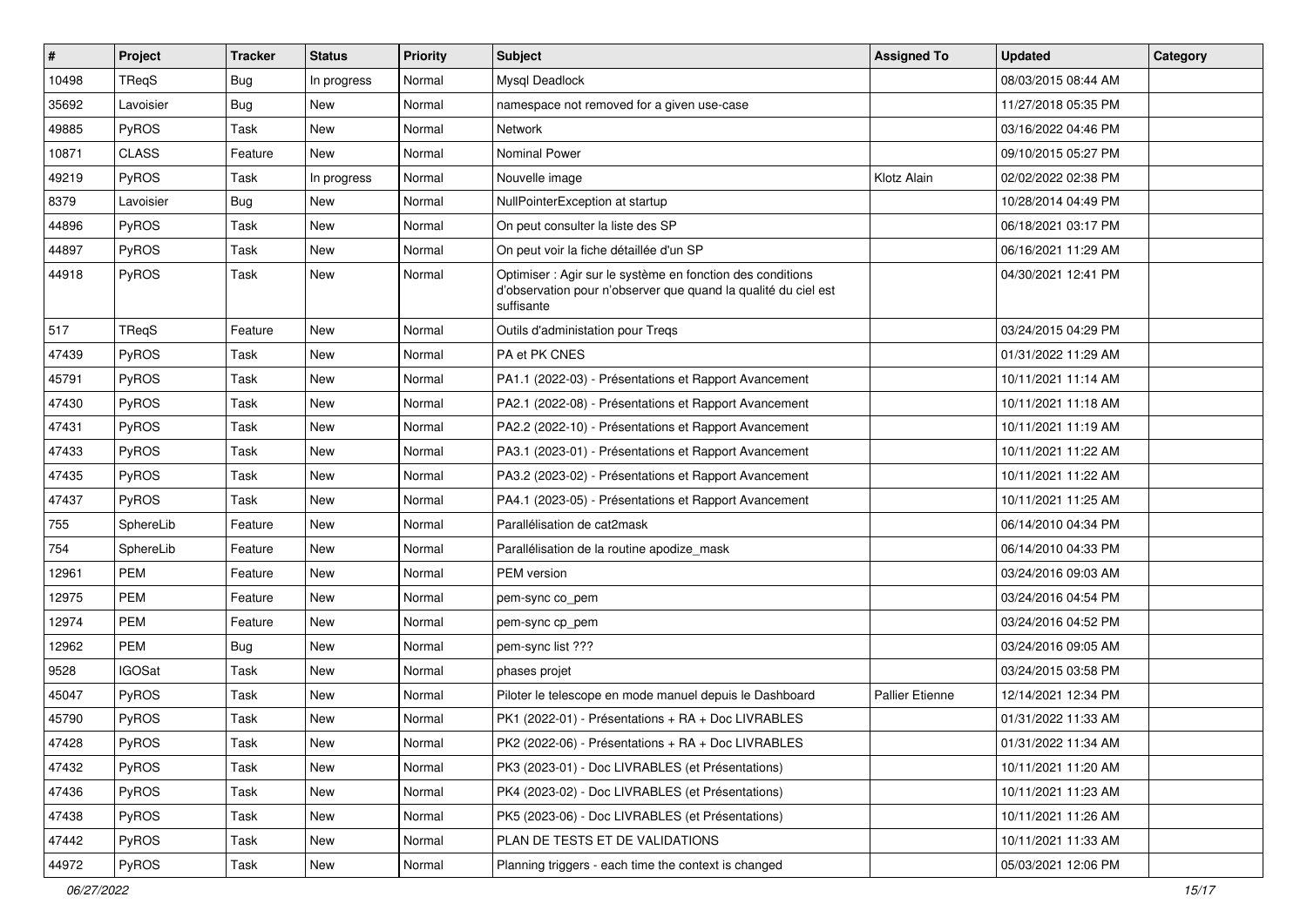| $\sharp$ | Project       | <b>Tracker</b> | <b>Status</b> | <b>Priority</b> | <b>Subject</b>                                                                                                                             | <b>Assigned To</b>     | <b>Updated</b>      | <b>Category</b> |
|----------|---------------|----------------|---------------|-----------------|--------------------------------------------------------------------------------------------------------------------------------------------|------------------------|---------------------|-----------------|
| 10498    | TReqS         | <b>Bug</b>     | In progress   | Normal          | Mysql Deadlock                                                                                                                             |                        | 08/03/2015 08:44 AM |                 |
| 35692    | Lavoisier     | <b>Bug</b>     | New           | Normal          | namespace not removed for a given use-case                                                                                                 |                        | 11/27/2018 05:35 PM |                 |
| 49885    | PyROS         | Task           | <b>New</b>    | Normal          | Network                                                                                                                                    |                        | 03/16/2022 04:46 PM |                 |
| 10871    | <b>CLASS</b>  | Feature        | New           | Normal          | <b>Nominal Power</b>                                                                                                                       |                        | 09/10/2015 05:27 PM |                 |
| 49219    | PyROS         | Task           | In progress   | Normal          | Nouvelle image                                                                                                                             | Klotz Alain            | 02/02/2022 02:38 PM |                 |
| 8379     | Lavoisier     | Bug            | New           | Normal          | NullPointerException at startup                                                                                                            |                        | 10/28/2014 04:49 PM |                 |
| 44896    | PyROS         | Task           | <b>New</b>    | Normal          | On peut consulter la liste des SP                                                                                                          |                        | 06/18/2021 03:17 PM |                 |
| 44897    | PyROS         | Task           | New           | Normal          | On peut voir la fiche détaillée d'un SP                                                                                                    |                        | 06/16/2021 11:29 AM |                 |
| 44918    | PyROS         | Task           | New           | Normal          | Optimiser : Agir sur le système en fonction des conditions<br>d'observation pour n'observer que quand la qualité du ciel est<br>suffisante |                        | 04/30/2021 12:41 PM |                 |
| 517      | TReqS         | Feature        | New           | Normal          | Outils d'administation pour Treqs                                                                                                          |                        | 03/24/2015 04:29 PM |                 |
| 47439    | PyROS         | Task           | <b>New</b>    | Normal          | PA et PK CNES                                                                                                                              |                        | 01/31/2022 11:29 AM |                 |
| 45791    | PyROS         | Task           | New           | Normal          | PA1.1 (2022-03) - Présentations et Rapport Avancement                                                                                      |                        | 10/11/2021 11:14 AM |                 |
| 47430    | PyROS         | Task           | <b>New</b>    | Normal          | PA2.1 (2022-08) - Présentations et Rapport Avancement                                                                                      |                        | 10/11/2021 11:18 AM |                 |
| 47431    | PyROS         | Task           | New           | Normal          | PA2.2 (2022-10) - Présentations et Rapport Avancement                                                                                      |                        | 10/11/2021 11:19 AM |                 |
| 47433    | PyROS         | Task           | New           | Normal          | PA3.1 (2023-01) - Présentations et Rapport Avancement                                                                                      |                        | 10/11/2021 11:22 AM |                 |
| 47435    | PyROS         | Task           | New           | Normal          | PA3.2 (2023-02) - Présentations et Rapport Avancement                                                                                      |                        | 10/11/2021 11:22 AM |                 |
| 47437    | PyROS         | Task           | New           | Normal          | PA4.1 (2023-05) - Présentations et Rapport Avancement                                                                                      |                        | 10/11/2021 11:25 AM |                 |
| 755      | SphereLib     | Feature        | <b>New</b>    | Normal          | Parallélisation de cat2mask                                                                                                                |                        | 06/14/2010 04:34 PM |                 |
| 754      | SphereLib     | Feature        | New           | Normal          | Parallélisation de la routine apodize mask                                                                                                 |                        | 06/14/2010 04:33 PM |                 |
| 12961    | <b>PEM</b>    | Feature        | New           | Normal          | <b>PEM</b> version                                                                                                                         |                        | 03/24/2016 09:03 AM |                 |
| 12975    | <b>PEM</b>    | Feature        | New           | Normal          | pem-sync co_pem                                                                                                                            |                        | 03/24/2016 04:54 PM |                 |
| 12974    | <b>PEM</b>    | Feature        | New           | Normal          | pem-sync cp_pem                                                                                                                            |                        | 03/24/2016 04:52 PM |                 |
| 12962    | <b>PEM</b>    | <b>Bug</b>     | New           | Normal          | pem-sync list ???                                                                                                                          |                        | 03/24/2016 09:05 AM |                 |
| 9528     | <b>IGOSat</b> | Task           | <b>New</b>    | Normal          | phases projet                                                                                                                              |                        | 03/24/2015 03:58 PM |                 |
| 45047    | PyROS         | Task           | New           | Normal          | Piloter le telescope en mode manuel depuis le Dashboard                                                                                    | <b>Pallier Etienne</b> | 12/14/2021 12:34 PM |                 |
| 45790    | PyROS         | Task           | New           | Normal          | PK1 (2022-01) - Présentations + RA + Doc LIVRABLES                                                                                         |                        | 01/31/2022 11:33 AM |                 |
| 47428    | PyROS         | Task           | New           | Normal          | PK2 (2022-06) - Présentations + RA + Doc LIVRABLES                                                                                         |                        | 01/31/2022 11:34 AM |                 |
| 47432    | PyROS         | Task           | New           | Normal          | PK3 (2023-01) - Doc LIVRABLES (et Présentations)                                                                                           |                        | 10/11/2021 11:20 AM |                 |
| 47436    | PyROS         | Task           | New           | Normal          | PK4 (2023-02) - Doc LIVRABLES (et Présentations)                                                                                           |                        | 10/11/2021 11:23 AM |                 |
| 47438    | PyROS         | Task           | New           | Normal          | PK5 (2023-06) - Doc LIVRABLES (et Présentations)                                                                                           |                        | 10/11/2021 11:26 AM |                 |
| 47442    | PyROS         | Task           | New           | Normal          | PLAN DE TESTS ET DE VALIDATIONS                                                                                                            |                        | 10/11/2021 11:33 AM |                 |
| 44972    | PyROS         | Task           | New           | Normal          | Planning triggers - each time the context is changed                                                                                       |                        | 05/03/2021 12:06 PM |                 |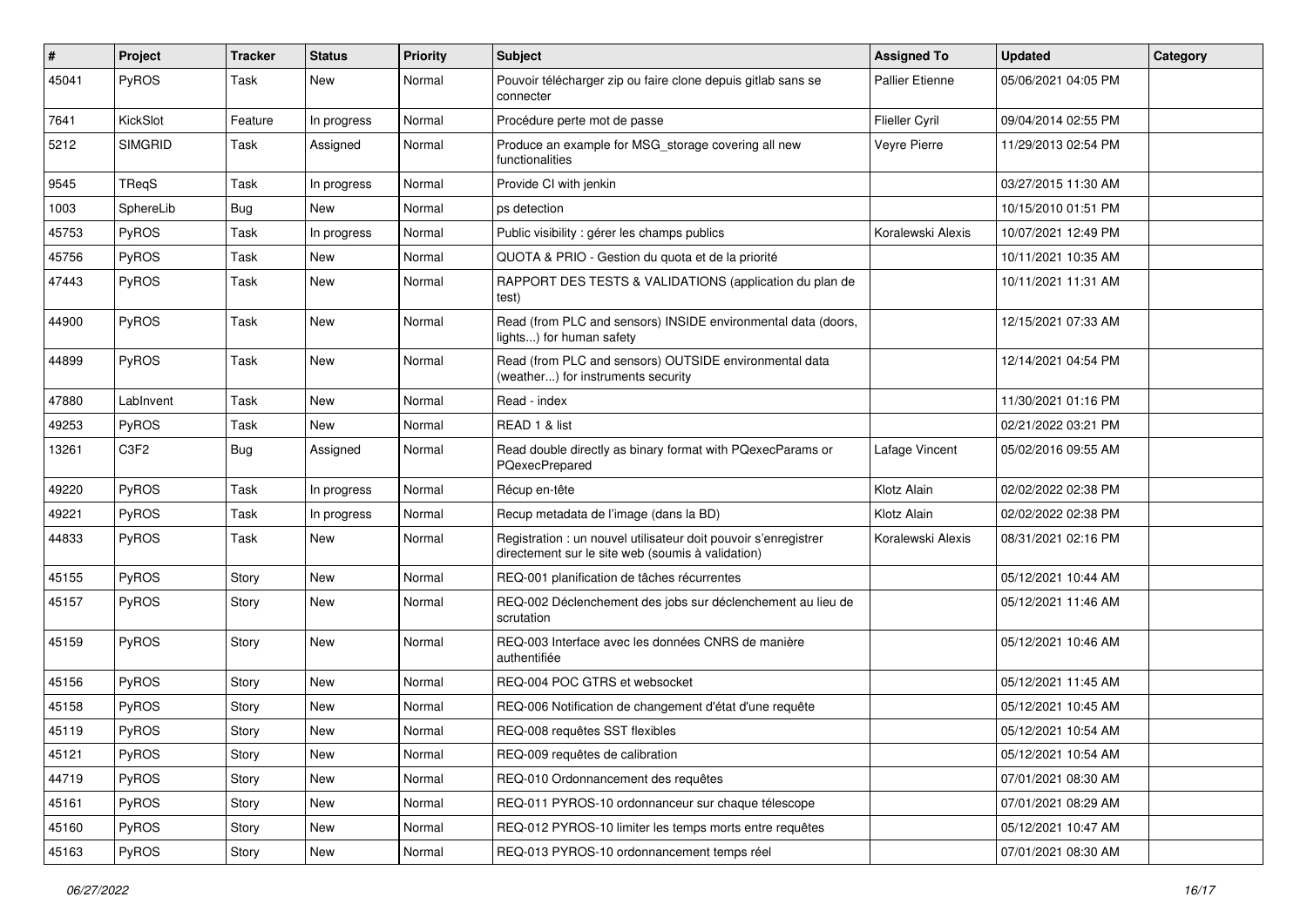| #     | Project        | <b>Tracker</b> | <b>Status</b> | <b>Priority</b> | <b>Subject</b>                                                                                                       | <b>Assigned To</b>     | <b>Updated</b>      | Category |
|-------|----------------|----------------|---------------|-----------------|----------------------------------------------------------------------------------------------------------------------|------------------------|---------------------|----------|
| 45041 | PyROS          | Task           | <b>New</b>    | Normal          | Pouvoir télécharger zip ou faire clone depuis gitlab sans se<br>connecter                                            | <b>Pallier Etienne</b> | 05/06/2021 04:05 PM |          |
| 7641  | KickSlot       | Feature        | In progress   | Normal          | Procédure perte mot de passe                                                                                         | Flieller Cyril         | 09/04/2014 02:55 PM |          |
| 5212  | <b>SIMGRID</b> | Task           | Assigned      | Normal          | Produce an example for MSG storage covering all new<br>functionalities                                               | Veyre Pierre           | 11/29/2013 02:54 PM |          |
| 9545  | TReqS          | Task           | In progress   | Normal          | Provide CI with jenkin                                                                                               |                        | 03/27/2015 11:30 AM |          |
| 1003  | SphereLib      | <b>Bug</b>     | <b>New</b>    | Normal          | ps detection                                                                                                         |                        | 10/15/2010 01:51 PM |          |
| 45753 | PyROS          | Task           | In progress   | Normal          | Public visibility : gérer les champs publics                                                                         | Koralewski Alexis      | 10/07/2021 12:49 PM |          |
| 45756 | PyROS          | Task           | <b>New</b>    | Normal          | QUOTA & PRIO - Gestion du quota et de la priorité                                                                    |                        | 10/11/2021 10:35 AM |          |
| 47443 | PyROS          | Task           | New           | Normal          | RAPPORT DES TESTS & VALIDATIONS (application du plan de<br>test)                                                     |                        | 10/11/2021 11:31 AM |          |
| 44900 | PyROS          | Task           | New           | Normal          | Read (from PLC and sensors) INSIDE environmental data (doors,<br>lights) for human safety                            |                        | 12/15/2021 07:33 AM |          |
| 44899 | PyROS          | Task           | New           | Normal          | Read (from PLC and sensors) OUTSIDE environmental data<br>(weather) for instruments security                         |                        | 12/14/2021 04:54 PM |          |
| 47880 | LabInvent      | Task           | New           | Normal          | Read - index                                                                                                         |                        | 11/30/2021 01:16 PM |          |
| 49253 | PyROS          | Task           | New           | Normal          | READ 1 & list                                                                                                        |                        | 02/21/2022 03:21 PM |          |
| 13261 | C3F2           | <b>Bug</b>     | Assigned      | Normal          | Read double directly as binary format with PQexecParams or<br>PQexecPrepared                                         | Lafage Vincent         | 05/02/2016 09:55 AM |          |
| 49220 | PyROS          | Task           | In progress   | Normal          | Récup en-tête                                                                                                        | Klotz Alain            | 02/02/2022 02:38 PM |          |
| 49221 | PyROS          | Task           | In progress   | Normal          | Recup metadata de l'image (dans la BD)                                                                               | Klotz Alain            | 02/02/2022 02:38 PM |          |
| 44833 | PyROS          | Task           | New           | Normal          | Registration : un nouvel utilisateur doit pouvoir s'enregistrer<br>directement sur le site web (soumis à validation) | Koralewski Alexis      | 08/31/2021 02:16 PM |          |
| 45155 | PyROS          | Story          | New           | Normal          | REQ-001 planification de tâches récurrentes                                                                          |                        | 05/12/2021 10:44 AM |          |
| 45157 | PyROS          | Story          | New           | Normal          | REQ-002 Déclenchement des jobs sur déclenchement au lieu de<br>scrutation                                            |                        | 05/12/2021 11:46 AM |          |
| 45159 | PyROS          | Story          | New           | Normal          | REQ-003 Interface avec les données CNRS de manière<br>authentifiée                                                   |                        | 05/12/2021 10:46 AM |          |
| 45156 | PyROS          | Story          | New           | Normal          | REQ-004 POC GTRS et websocket                                                                                        |                        | 05/12/2021 11:45 AM |          |
| 45158 | PyROS          | Story          | New           | Normal          | REQ-006 Notification de changement d'état d'une requête                                                              |                        | 05/12/2021 10:45 AM |          |
| 45119 | PyROS          | Story          | New           | Normal          | REQ-008 requêtes SST flexibles                                                                                       |                        | 05/12/2021 10:54 AM |          |
| 45121 | PyROS          | Story          | New           | Normal          | REQ-009 requêtes de calibration                                                                                      |                        | 05/12/2021 10:54 AM |          |
| 44719 | PyROS          | Story          | New           | Normal          | REQ-010 Ordonnancement des requêtes                                                                                  |                        | 07/01/2021 08:30 AM |          |
| 45161 | PyROS          | Story          | New           | Normal          | REQ-011 PYROS-10 ordonnanceur sur chaque télescope                                                                   |                        | 07/01/2021 08:29 AM |          |
| 45160 | PyROS          | Story          | New           | Normal          | REQ-012 PYROS-10 limiter les temps morts entre requêtes                                                              |                        | 05/12/2021 10:47 AM |          |
| 45163 | PyROS          | Story          | New           | Normal          | REQ-013 PYROS-10 ordonnancement temps réel                                                                           |                        | 07/01/2021 08:30 AM |          |